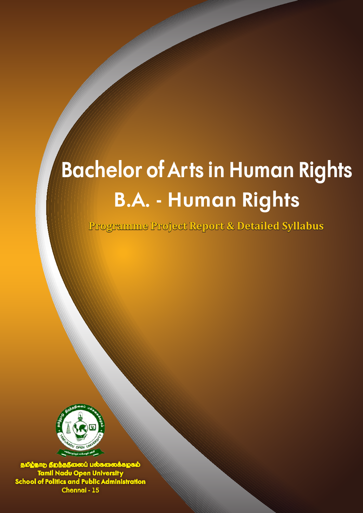# **Bachelor of Arts in Human Rights B.A. - Human Rights**

**Programme Project Report & Detailed Syllabus**



தமிழ்நாடு திறந்தநிலைப் பல்கலைக்கழகம் **Tamil Nadu Open Universit y School of Politics and Public Administration** Chennai - 15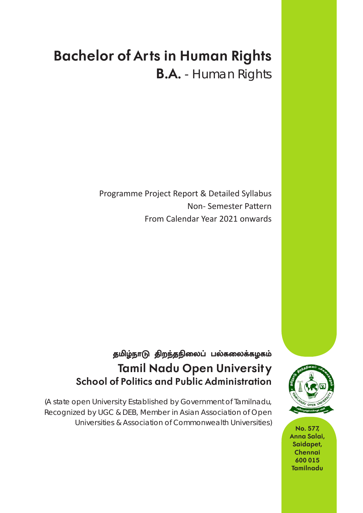## **Bachelor of Arts in Human Rights B.A.** - Human Rights

Programme Project Report & Detailed Syllabus Non- Semester Pattern From Calendar Year 2021 onwards

## தமிழ்நாடு திறந்தநிலைப் பல்கலைக்கழகம் **Tamil Nadu Open Universit y School of Politics and Public Administration**

(A state open Universit y Established by Government of Tamilnadu, Recognized by UGC & DEB, Member in Asian Association of Open Universities & Association of Commonwealth Universities) **No. 577,** 



**Anna Salai, Saidapet, Chennai 600 015 Tamilnadu**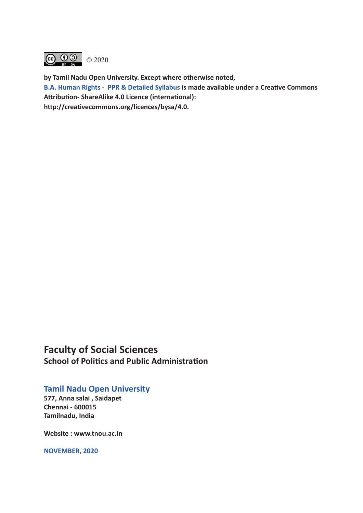

**by Tamil Nadu Open University. Except where otherwise noted, B.A. Human Rights - PPR & Detailed Syllabus is made available under a Creative Commons Attribution- ShareAlike 4.0 Licence (international): http://creativecommons.org/licences/bysa/4.0.**

## **Faculty of Social Sciences School of Politics and Public Administration**

## **Tamil Nadu Open University**

**577, Anna salai , Saidapet Chennai - 600015 Tamilnadu, India**

**Website : www.tnou.ac.in**

**NOVEMBER, 2020**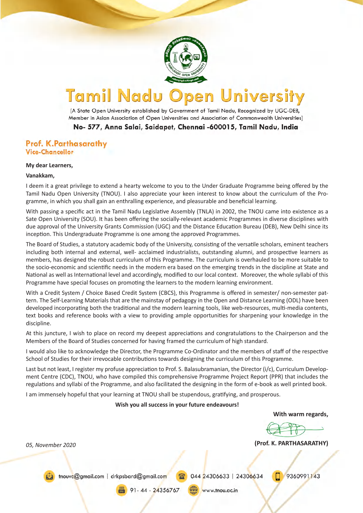

#### Tamil Nadu **University** pen

[A State Open University established by Government of Tamil Nadu, Recognized by UGC-DEB, Member in Asian Association of Open Universities and Association of Commonwealth Universities]

No- 577, Anna Salai, Saidapet, Chennai -600015, Tamil Nadu, India

#### Prof. K.Parthasarathy **Vice-Chancellor**

#### **My dear Learners,**

#### **Vanakkam,**

I deem it a great privilege to extend a hearty welcome to you to the Under Graduate Programme being offered by the Tamil Nadu Open University (TNOU). I also appreciate your keen interest to know about the curriculum of the Programme, in which you shall gain an enthralling experience, and pleasurable and beneficial learning.

With passing a specific act in the Tamil Nadu Legislative Assembly (TNLA) in 2002, the TNOU came into existence as a Sate Open University (SOU). It has been offering the socially-relevant academic Programmes in diverse disciplines with due approval of the University Grants Commission (UGC) and the Distance Education Bureau (DEB), New Delhi since its inception. This Undergraduate Programme is one among the approved Programmes.

The Board of Studies, a statutory academic body of the University, consisting of the versatile scholars, eminent teachers including both internal and external, well- acclaimed industrialists, outstanding alumni, and prospective learners as members, has designed the robust curriculum of this Programme. The curriculum is overhauled to be more suitable to the socio-economic and scientific needs in the modern era based on the emerging trends in the discipline at State and National as well as International level and accordingly, modified to our local context. Moreover, the whole syllabi of this Programme have special focuses on promoting the learners to the modern learning environment.

With a Credit System / Choice Based Credit System (CBCS), this Programme is offered in semester/ non-semester pattern. The Self-Learning Materials that are the mainstay of pedagogy in the Open and Distance Learning (ODL) have been developed incorporating both the traditional and the modern learning tools, like web-resources, multi-media contents, text books and reference books with a view to providing ample opportunities for sharpening your knowledge in the discipline.

At this juncture, I wish to place on record my deepest appreciations and congratulations to the Chairperson and the Members of the Board of Studies concerned for having framed the curriculum of high standard.

I would also like to acknowledge the Director, the Programme Co-Ordinator and the members of staff of the respective School of Studies for their irrevocable contributions towards designing the curriculum of this Programme.

Last but not least, I register my profuse appreciation to Prof. S. Balasubramanian, the Director (i/c), Curriculum Development Centre (CDC), TNOU, who have compiled this comprehensive Programme Project Report (PPR) that includes the regulations and syllabi of the Programme, and also facilitated the designing in the form of e-book as well printed book.

I am immensely hopeful that your learning at TNOU shall be stupendous, gratifying, and prosperous.

#### **Wish you all success in your future endeavours!**

**With warm regards,**

**(Prof. K. PARTHASARATHY)** *05, November 2020*

thouve@gmail.com | drkpsbard@gmail.com

044 24306633 | 24306634

9360991143

91-44-24356767

www.tnou.ac.in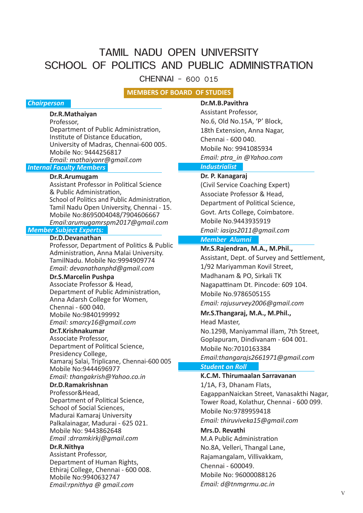## TAMIL NADU OPEN UNIVERSITY SCHOOL OF POLITICS AND PUBLIC ADMINISTRATION

CHENNAI - 600 015

#### **MEMBERS OF BOARD OF STUDIES**

#### *Chairperson*

#### **Dr.R.Mathaiyan**

Professor, Department of Public Administration, Institute of Distance Education, University of Madras, Chennai-600 005. Mobile No: 9444256817 *Email: mathaiyanr@gmail.com*

#### *Internal Faculty Members*

#### **Dr.R.Arumugam**

Assistant Professor in Political Science & Public Administration, School of Politics and Public Administration, Tamil Nadu Open University, Chennai - 15. Mobile No:8695004048/7904606667 *Email:arumugamrspm2017@gmail.com*

### *Member Subject Experts:*

#### **Dr.D.Devanathan**

Professor, Department of Politics & Public Administration, Anna Malai University. TamilNadu. Mobile No:9994909774 *Email: devanathanphd@gmail.com*

#### **Dr.S.Marcelin Pushpa**

Associate Professor & Head, Department of Public Administration, Anna Adarsh College for Women, Chennai - 600 040. Mobile No:9840199992 *Email: smarcy16@gmail.com*

### **Dr.T.Krishnakumar**

Associate Professor, Department of Political Science, Presidency College, Kamaraj Salai, Triplicane, Chennai-600 005 Mobile No:9444696977 *Email: thangakrish@Yahoo.co.in*

## **Dr.D.Ramakrishnan**

Professor&Head, Department of Political Science, School of Social Sciences, Madurai Kamaraj University Palkalainagar, Madurai - 625 021. Mobile No: 9443862648 *Email :drramkirkj@gmail.com*

#### **Dr.R.Nithya**

Assistant Professor, Department of Human Rights, Ethiraj College, Chennai - 600 008. Mobile No:9940632747 *Email:rpnithya @ gmail.com*

## **Dr.M.B.Pavithra**

Assistant Professor, No.6, Old No.15A, 'P' Block, 18th Extension, Anna Nagar, Chennai - 600 040. Mobile No: 9941085934 *Email: ptra\_in @Yahoo.com*

### *Industrialist*

#### **Dr. P. Kanagaraj**

(Civil Service Coaching Expert) Associate Professor & Head, Department of Political Science, Govt. Arts College, Coimbatore. Mobile No.9443935919 *Email: iasips2011@gmail.com*

#### *Member Alumni*

**Mr.S.Rajendran, M.A., M.Phil.,** Assistant, Dept. of Survey and Settlement,

1/92 Mariyamman Kovil Street,

Madhanam & PO, Sirkali TK Nagapattinam Dt. Pincode: 609 104.

Mobile No.9786505155

*Email: rajusurvey2006@gmail.com*

#### **Mr.S.Thangaraj, M.A., M.Phil.,**

Head Master,

No.129B, Maniyammal illam, 7th Street, Goplapuram, Dindivanam - 604 001. Mobile No:7010163384

*Email:thangarajs2661971@gmail.com*

#### *Student on Roll*

#### **K.C.M. Thirumaalan Sarravanan**

1/1A, F3, Dhanam Flats, EagappanNaickan Street, Vanasakthi Nagar, Tower Road, Kolathur, Chennai - 600 099. Mobile No:9789959418 *Email: thiruviveka15@gmail.com*

#### **Mrs.D. Revathi**

M.A Public Administration No.8A, Velleri, Thangal Lane, Rajamangalam, Villivakkam, Chennai - 600049. Mobile No: 96000088126 *Email: d@tnmgrmu.ac.in*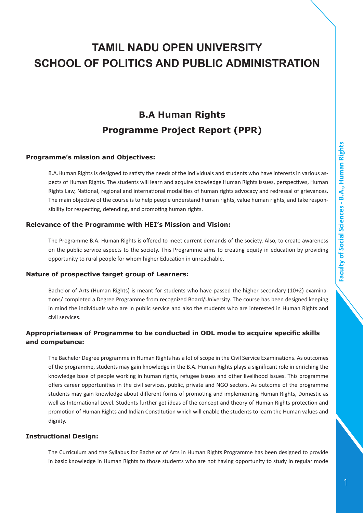## **TAMIL NADU OPEN UNIVERSITY SCHOOL OF POLITICS AND PUBLIC ADMINISTRATION**

## **B.A Human Rights Programme Project Report (PPR)**

#### **Programme's mission and Objectives:**

B.A.Human Rights is designed to satisfy the needs of the individuals and students who have interests in various aspects of Human Rights. The students will learn and acquire knowledge Human Rights issues, perspectives, Human Rights Law, National, regional and international modalities of human rights advocacy and redressal of grievances. The main objective of the course is to help people understand human rights, value human rights, and take responsibility for respecting, defending, and promoting human rights.

#### **Relevance of the Programme with HEI's Mission and Vision:**

The Programme B.A. Human Rights is offered to meet current demands of the society. Also, to create awareness on the public service aspects to the society. This Programme aims to creating equity in education by providing opportunity to rural people for whom higher Education in unreachable.

#### **Nature of prospective target group of Learners:**

Bachelor of Arts (Human Rights) is meant for students who have passed the higher secondary (10+2) examinations/ completed a Degree Programme from recognized Board/University. The course has been designed keeping in mind the individuals who are in public service and also the students who are interested in Human Rights and civil services.

#### **Appropriateness of Programme to be conducted in ODL mode to acquire specific skills and competence:**

The Bachelor Degree programme in Human Rights has a lot of scope in the Civil Service Examinations. As outcomes of the programme, students may gain knowledge in the B.A. Human Rights plays a significant role in enriching the knowledge base of people working in human rights, refugee issues and other livelihood issues. This programme offers career opportunities in the civil services, public, private and NGO sectors. As outcome of the programme students may gain knowledge about different forms of promoting and implementing Human Rights, Domestic as well as International Level. Students further get ideas of the concept and theory of Human Rights protection and promotion of Human Rights and Indian Constitution which will enable the students to learn the Human values and dignity.

#### **Instructional Design:**

The Curriculum and the Syllabus for Bachelor of Arts in Human Rights Programme has been designed to provide in basic knowledge in Human Rights to those students who are not having opportunity to study in regular mode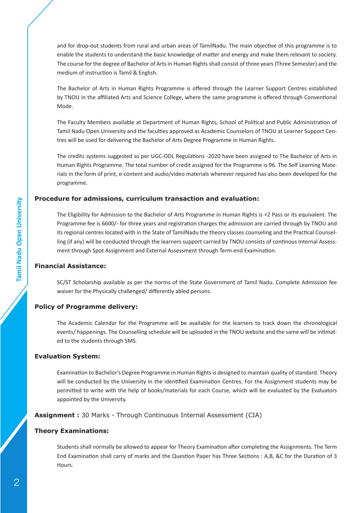and for drop-out students from rural and urban areas of TamilNadu. The main objective of this programme is to enable the students to understand the basic knowledge of matter and energy and make them relevant to society. The course for the degree of Bachelor of Arts in Human Rights shall consist of three years (Three Semester) and the medium of instruction is Tamil & English.

The Bachelor of Arts in Human Rights Programme is offered through the Learner Support Centres established by TNOU in the affiliated Arts and Science College, where the same programme is offered through Conventional Mode.

The Faculty Members available at Department of Human Rights, School of Political and Public Administration of Tamil Nadu Open University and the faculties approved as Academic Counselors of TNOU at Learner Support Centres will be used for delivering the Bachelor of Arts Degree Programme in Human Rights.

The credits systems suggested as per UGC-ODL Regulations -2020 have been assigned to The Bachelor of Arts in Human Rights Programme. The total number of credit assigned for the Programme is 96. The Self Learning Materials in the form of print, e-content and audio/video materials wherever required has also been developed for the programme.

#### **Procedure for admissions, curriculum transaction and evaluation:**

The Eligibility for Admission to the Bachelor of Arts Programme in Human Rights is +2 Pass or its equivalent. The Programme fee is 6600/- for three years and registration charges the admission are carried through by TNOU and its regional centres located with in the State of TamilNadu the theory classes counseling and the Practical Counselling (if any) will be conducted through the learners support carried by TNOU consists of continous Internal Assessment through Spot Assignment and External Assessment through Term end Examination.

#### **Financial Assistance:**

SC/ST Scholarship available as per the norms of the State Government of Tamil Nadu. Complete Admission fee waiver for the Physically challenged/ differently abled persons.

#### **Policy of Programme delivery:**

The Academic Calendar for the Programme will be available for the learners to track down the chronological events/ happenings. The Counselling schedule will be uploaded in the TNOU website and the same will be intimated to the students through SMS.

#### **Evaluation System:**

Examination to Bachelor's Degree Programme in Human Rights is designed to maintain quality of standard. Theory will be conducted by the University in the identified Examination Centres. For the Assignment students may be permitted to write with the help of books/materials for each Course, which will be evaluated by the Evaluators appointed by the University.

#### **Assignment :** 30 Marks - Through Continuous Internal Assessment (CIA)

#### **Theory Examinations:**

Students shall normally be allowed to appear for Theory Examination after completing the Assignments. The Term End Examination shall carry of marks and the Question Paper has Three Sections : A,B, &C for the Duration of 3 Hours.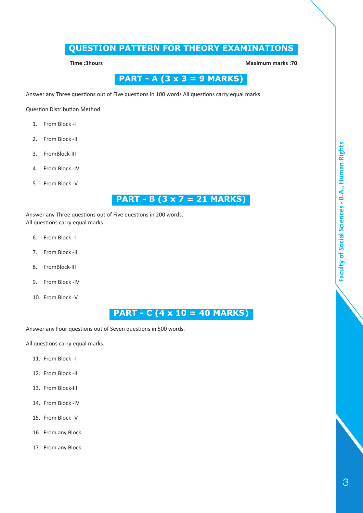## **QUESTION PATTERN FOR THEORY EXAMINATIONS**

**Time :3hours Maximum marks :70**

## **PART - A (3 x 3 = 9 MARKS)**

Answer any Three questions out of Five questions in 100 words All questions carry equal marks

Question Distribution Method

- 1. From Block -I
- 2. From Block -II
- 3. FromBlock-III
- 4. From Block -IV
- 5. From Block -V

## **PART - B (3 x 7 = 21 MARKS)**

Answer any Three questions out of Five questions in 200 words. All questions carry equal marks

- 6. From Block -I
- 7. From Block -II
- 8. FromBlock-III
- 9. From Block -IV
- 10. From Block -V

## **PART - C (4 x 10 = 40 MARKS)**

Answer any Four questions out of Seven questions in 500 words.

All questions carry equal marks.

- 11. From Block -I
- 12. From Block -II
- 13. From Block-III
- 14. From Block -IV
- 15. From Block -V
- 16. From any Block
- 17. From any Block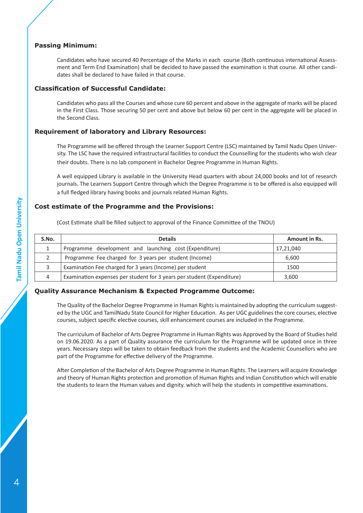#### **Passing Minimum:**

Candidates who have secured 40 Percentage of the Marks in each course (Both continuous international Assessment and Term End Examination) shall be decided to have passed the examination is that course. All other candidates shall be declared to have failed in that course.

#### **Classification of Successful Candidate:**

Candidates who pass all the Courses and whose cure 60 percent and above in the aggregate of marks will be placed in the First Class. Those securing 50 per cent and above but below 60 per cent in the aggregate will be placed in the Second Class.

#### **Requirement of laboratory and Library Resources:**

The Programme will be offered through the Learner Support Centre (LSC) maintained by Tamil Nadu Open University. The LSC have the required infrastructural facilities to conduct the Counselling for the students who wish clear their doubts. There is no lab component in Bachelor Degree Programme in Human Rights.

A well equipped Library is available in the University Head quarters with about 24,000 books and lot of research journals. The Learners Support Centre through which the Degree Programme is to be offered is also equipped will a full fledged library having books and journals related Human Rights.

#### **Cost estimate of the Programme and the Provisions:**

(Cost Estimate shall be filled subject to approval of the Finance Committee of the TNOU)

| S.No. | <b>Details</b>                                                         | <b>Amount in Rs.</b> |
|-------|------------------------------------------------------------------------|----------------------|
|       | Programme development and launching cost (Expenditure)                 | 17,21,040            |
|       | Programme Fee charged for 3 years per student (Income)                 | 6.600                |
|       | Examination Fee charged for 3 years (Income) per student               | 1500                 |
| 4     | Examination expenses per student for 3 years per student (Expenditure) | 3.600                |

#### **Quality Assurance Mechanism & Expected Programme Outcome:**

The Quality of the Bachelor Degree Programme in Human Rights is maintained by adopting the curriculum suggested by the UGC and TamilNadu State Council for Higher Education. As per UGC guidelines the core courses, elective courses, subject specific elective courses, skill enhancement courses are included in the Programme.

The curriculum of Bachelor of Arts Degree Programme in Human Rights was Approved by the Board of Studies held on 19.06.2020. As a part of Quality assurance the curriculum for the Programme will be updated once in three years. Necessary steps will be taken to obtain feedback from the students and the Academic Counsellors who are part of the Programme for effective delivery of the Programme.

After Completion of the Bachelor of Arts Degree Programme in Human Rights. The Learners will acquire Knowledge and theory of Human Rights protection and promotion of Human Rights and Indian Constitution which will enable the students to learn the Human values and dignity. which will help the students in competitive examinations.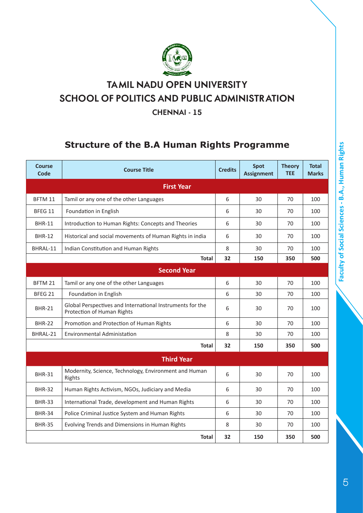

## **TA MIL NADU OPEN UNIVERSIT Y SCHOOL OF POLITICS AND PUBLIC ADMINISTR ATION**

**CHENNAI - 15**

## **Structure of the B.A Human Rights Programme**

| <b>Course</b><br>Code | <b>Course Title</b>                                                                     | <b>Credits</b> | <b>Spot</b><br><b>Assignment</b> | <b>Theory</b><br><b>TEE</b> | <b>Total</b><br><b>Marks</b> |
|-----------------------|-----------------------------------------------------------------------------------------|----------------|----------------------------------|-----------------------------|------------------------------|
|                       | <b>First Year</b>                                                                       |                |                                  |                             |                              |
| BFTM 11               | Tamil or any one of the other Languages                                                 | 6              | 30                               | 70                          | 100                          |
| BFEG 11               | Foundation in English                                                                   | 6              | 30                               | 70                          | 100                          |
| <b>BHR-11</b>         | Introduction to Human Rights: Concepts and Theories                                     | 6              | 30                               | 70                          | 100                          |
| <b>BHR-12</b>         | Historical and social movements of Human Rights in india                                | 6              | 30                               | 70                          | 100                          |
| BHRAL-11              | Indian Constitution and Human Rights                                                    | 8              | 30                               | 70                          | 100                          |
|                       | <b>Total</b>                                                                            | 32             | 150                              | 350                         | 500                          |
|                       | <b>Second Year</b>                                                                      |                |                                  |                             |                              |
| BFTM 21               | Tamil or any one of the other Languages                                                 | 6              | 30                               | 70                          | 100                          |
| BFEG <sub>21</sub>    | Foundation in English                                                                   | 6              | 30                               | 70                          | 100                          |
| <b>BHR-21</b>         | Global Perspectives and International Instruments for the<br>Protection of Human Rights | 6              | 30                               | 70                          | 100                          |
| <b>BHR-22</b>         | Promotion and Protection of Human Rights                                                | 6              | 30                               | 70                          | 100                          |
| BHRAL-21              | <b>Environmental Administation</b>                                                      | 8              | 30                               | 70                          | 100                          |
|                       | Total                                                                                   | 32             | 150                              | 350                         | 500                          |
|                       | <b>Third Year</b>                                                                       |                |                                  |                             |                              |
| <b>BHR-31</b>         | Modernity, Science, Technology, Environment and Human<br>Rights                         | 6              | 30                               | 70                          | 100                          |
| <b>BHR-32</b>         | Human Rights Activism, NGOs, Judiciary and Media                                        | 6              | 30                               | 70                          | 100                          |
| <b>BHR-33</b>         | International Trade, development and Human Rights                                       | 6              | 30                               | 70                          | 100                          |
| <b>BHR-34</b>         | Police Criminal Justice System and Human Rights                                         | 6              | 30                               | 70                          | 100                          |
| <b>BHR-35</b>         | Evolving Trends and Dimensions in Human Rights                                          | 8              | 30                               | 70                          | 100                          |
|                       | <b>Total</b>                                                                            | 32             | 150                              | 350                         | 500                          |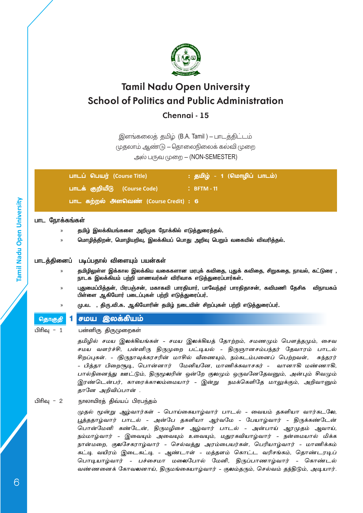

**Chennai - 15**

இளங்கலைத் தமிழ் (B.A. Tamil ) – பாடத்திட்டம் முதலாம் ஆண்டு - தொலைநிலைக் கல்வி முறை அல் பருவ முறை  $-$  (NON-SEMESTER)

| பாடப் பெயர் (Course Title)                    | : தமிழ் - 1 (மொழிப் பாடம்) |
|-----------------------------------------------|----------------------------|
| பாடக் குறியீடு (Course Code)                  | $\therefore$ BFTM - 11     |
| <u>பாட கற்ற</u> ல் அளவெண் (Course Credit) : 6 |                            |

#### **பாட ந�ோக்கங்கள்**

- » **தமிழ் இலக்கியங்களை அறிமுக ந�ோக்கில் எடுத்துரைத்தல்.**
- » **ம�ொழித்திறன், ம�ொழியறிவு, இலக்கியப் பொது அறிவு பெறும் வகையில் விவரித்தல்.**

#### **பாடத்தினைப் படிப்பதால் விளையும் பயன்கள்**

- » **தமிழிலுள்ள இக்கால இலக்கிய வகைகளான மரபுக் கவிதை, புதுக் கவிதை, சிறுகதை, நாவல், கட்டுரை , நாடக இலக்கியம் பற்றி மாணவர்கள் விரிவாக எடுத்துரைப்பார்கள்.**
- » **புதுமைப்பித்தன், பிரபஞ்சன், மகாகவி பாரதியார், பாவேந்தர் பாரதிதாசன், கவிமணி தேசிக விநாயகம் பிள்ளை ஆகியோர் படைப்புகள் பற்றி எடுத்துரைப்பர்.**
- » **மு.வ. , திரு.வி.க. ஆகியோரின் தமிழ் நடையின் சிறப்புகள் பற்றி எடுத்துரைப்பர்.**
- 

### <mark>தொகுதி 1</mark> சமய இல<mark>க்கியம்</mark>

பிரிவு - 1 பன்னிரு திருமுறைகள்

தமிழில் சமய இலக்கியங்கள் - சமய இலக்கியத் தோற்றம், சமணமும் பௌத்தமும், சைவ சமய வளர்ச்சி, பன்னிரு திருமுறை பட்டியல் - திருஞானசம்பந்தர் தேவாரம் பாடல் சிறப்புகள். - (திருநாவுக்கரசரின் மாசில் வீணையும், நம்கடம்பனைப் பெற்றவள், சுந்தரர் - பித்தா பிறைசூடி, ப�ொன்னார் மேனியனே, மாணிக்கவாசகர் - வானாகி மண்ணாகி, பால்நினைந்து ஊட்டும், திருமூலரின் ஒன்றே குலமும் ஒருவனேதேவனும், அன்பும் சிவமும் இரண்டென்பர், காரைக்காலம்மையார் - இன்று நமக்கெளிதே மாலுக்கும், அறிவானும் தானே அறிவிப்பான் .

#### பிரிவு - 2 நாலாயிரத் திவ்யப் பிரபந்தம்

முதல் மூன்று அம்வார்கள் - பொய்கையாம்வார் பாடல் - வையம் தகளியா வார்கடலே, பூத்ததாழ்வார் பாடல் - அன்பே தகளியா ஆர்வமே - பேயாழ்வார் - திருக்கண்டேன் ப�ொன்மேனி கண்டேன், திருமழிசை ஆழ்வார் பாடல் - அன்பாய் ஆரமுதம் ஆவாய், நம்மாழ்வார் - இவையும் அவையும் உவையும், மதுரகவியாழ்வார் - நன்மையால் மிக்க நான்மறை, குலசேகராழ்வார் - செல்வத்து அரம்பையர்கள், பெரியாழ்வார் - மாணிக்கம் கட்டி வயிரம் இடைகட்டி - ஆண்டாள் - மத்தளம் கொட்ட வரிசங்கம், தொண்டரடிப் பொடியாழ்வார் - பச்சைமா மலைபோல் மேனி, திருப்பாணாழ்வார் - கொண்டல் வண்ணனைக் கோவலனாய், திருமங்கையாழ்வார் - குலம்தரும், செல்வம் தந்திடும், அடியார்.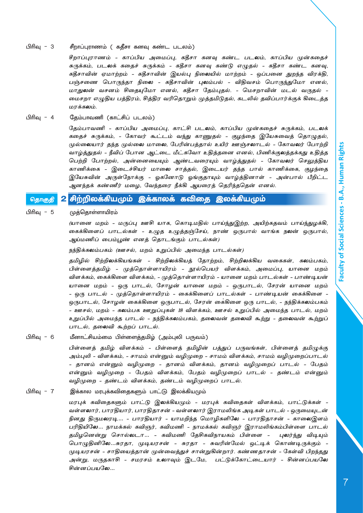#### பிரிவு - 3 சீறாப்புராணம் ( கதீசா கனவு கண்ட படலம்)

சீறாப்புராணம் - காப்பிய அமைப்பு, கதீசா கனவு கண்ட படலம், காப்பிய முன்கதைச் சுருக்கம், படலக் கதைச் சுருக்கம் - கதீசா கனவு கண்டு எழுதல் - கதீசா கண்ட கனவு, கதீசாவின் ஏமாற்றம் - கதீசாவின் இயல்பு நிலையில் மாற்றம் - ஒப்பனை துறந்த விரக்தி, பஞ்சணை பொருந்தா நிலை - கதீசாவின் புலம்பல் - விதிவசம் பொருந்துமோ எனல், மாதுலன் வசனம் சிதையுமோ எனல், கதீசா தேம்புதல். - மெசறாவின் மடல் வருதல் - மைசறா எழுதிய பத்திரம், சித்திர வரிதொறும் முத்தமிடுதல், கடலில் தவிப்பார்க்குக் கிடைத்த மரக்கலம்.

#### பிரிவு - 4 தேம்பாவணி (காட்சிப் படலம்)

தேம்பாவணி - காப்பிய அமைப்பு, காட்சி படலம், காப்பிய முன்கதைச் சுருக்கம், படலக் கதைச் சுருக்கம், - கோவர் கூட்டம் வந்து காணுதல் - குழந்தை இயேசுவைத் தொழுதல், முல்லையார் தந்த முல்லை மாலை, பேரின்பத்தால் உயிர் ஊஞ்சலாடல் - கோவலர் போற்றி வாழ்த்துதல் - நீவிப் போன அட்டை மீட்கவோ உதித்தனை எனல், பிணிக்குலத்தக்கது உதித்த பெற்றி ப�ோற்றல், அன்னையையும் ஆண்டவரையும் வாழ்த்துதல் - கோவலர் செலுத்திய காணிக்கை - இடைச்சியர் மாலை சாத்தல், இடையர் தந்த பால் காணிக்கை, குழந்தை இயேசுவின் அருள்நோக்கு - ஓகனோடு ஓங்குதாயும் வாழ்த்தினாள் - அன்பால் பீறிட்ட ஆனந்தக் கண்ணீர் மழை, வேந்தரை நீக்கி ஆயரைத் தெரிந்ததென் எனல்.

#### <sub>தொகுதி</sub> 2 சிற்றிலக்கியமும் இக்காலக் கவிதை இலக்கியமும்

#### பிரிவு - 5 முத்தொள்ளாயிரம்

(யானை மறம் - மருப்பு ஊசி யாக, கொடிமதில் பாய்ந்துஇற்ற, அயிற்கதவம் பாய்ந்துழக்கி, கைக்கிளைப் பாடல்கள் - உழுத உழுத்தஞ்சேய், நாண் ஒருபால் வாங்க நலன் ஒருபால், ஆய்மணிப் பைம்பூண் எனத் தொடங்கும் பாடல்கள்)

நந்திக்கலம்பகம் (ஊசல், மறம் உறுப்பில் அமைந்த பாடல்கள்)

தமிழில் சிற்றிலக்கியங்கள் - சிற்றிலக்கியத் தோற்றம், சிற்றிலக்கிய வகைகள், கலம்பகம், பிள்ளைத்தமிழ் - முத்தொள்ளாயிரம் - நூல்பெயர் விளக்கம், அமைப்பு, யானை மறம் விளக்கம், கைக்கிளை விளக்கம், - முத்தொள்ளாயிரம் - யானை மறம் பாடல்கள் - பாண்டியன் யானை மறம் - ஒரு பாடல், சோழன் யானை மறம் - ஒருபாடல், சேரன் யானை மறம் - ஒரு பாடல் - முத்தொள்ளாயிரம் - கைக்கிளைப் பாடல்கள் - பாண்டியன் கைக்கிளை - ஒருபாடல், சோழன் கைக்கிளை ஒருபாடல், சேரன் கை்கிளை ஒரு பாடல், - நந்திக்கலம்பகம் - ஊசல், மறம் - கலம்பக ஊறுப்புகள் 18 விளக்கம், ஊசல் உறுப்பில் அமைந்த பாடல், மறம் உறுப்பில் அமைந்த பாடல் - நந்திக்கலம்பகம், தலைவன் தலைவி கூற்று - தலைவன் கூற்றுப் பாடல், தலைவி கூற்றப் பாடல்.

பிரிவு - 6 மீனாட்சியம்மை பிள்ளைத்தமிழ் (அம்புலி பருவம்)

பிள்ளைத் தமிழ் விளக்கம் - பிள்ளைத் தமிழின் பத்துப் பருவங்கள், பிள்ளைத் தமிழுக்கு அம்புலி - விளக்கம், - சாமம் என்னும் வழிமுறை - சாமம் விளக்கம், சாமம் வழிமுறைப்பாடல் - தானம் என்னும் வழிமுறை - தானம் விளக்கம், தானம் வழிமுறைப் பாடல் - பேதம் என்னும் வழிமுறை - பேதம் விளக்கம், பேதம் வழிமுறைப் பாடல் - தண்டம் என்னும் வழிமுறை - தண்டம் விளக்கம், தண்டம் வழிமுறைப் பாடல்.

பிரிவு - 7 இக்கால மரபுக்கவிதைகளும் பாட்டு இலக்கியமும்

மரபுக் கவிதைகளும் பாட்டு இலக்கியமும் - மரபுக் கவிதைகள் விளக்கம், பாட்டுக்கள் - வள்ளலார், பாரதியார், பாரதிதாசன் - வள்ளலார் இராமலிங்க அடிகள் பாடல் - ஒருமையுடன் நினது திருமலரடி… - பாரதியார் - யாமறிந்த மொழிகளிலே - பாரதிதாசன் - காலைஇளம் பரிதியிலே… நாமக்கல் கவிஞர், கவிமணி - நாமக்கல் கவிஞர் இராமலிங்கம்பிள்ளை பாடல் –தமிழனென்று சொல்லடா… - கவிமணி தேசிகவிநாயகம் பிள்ளை - புலர்ந்து விடியும் ப�ொழுதினிலே…சுரதா, முடியரசன் - சுரதா - சுவரின்மேல் ஒட்டிக் கொண்டிருக்கும் - முடியரசன் - சாதியைத்தான் முன்வைத்துச் சான்றுகின்றார். கண்ணதாசன் - கேள்வி பிறந்தது அன்று, மருதகாசி - சமரசம் உலாவும் இடமே, பட்டுக்கோட்டையார் - சின்னப்பயலே சின்னப்பயலே…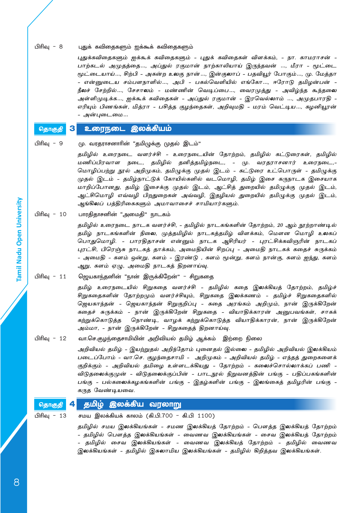#### பிரிவு - 8 புதுக் கவிதைகளும் ஐக்கூக் கவிதைகளும்

புதுக்கவிதைகளும் ஐக்கூக் கவிதைகளும் - புதுக் கவிதைகள் விளக்கம், - நா. காமராசன் - பாற்கடல் அமுதத்தை…, அப்துல் ரகுமான்– நாற்காலியாய் இருந்தவன் …, மீரா - மூட்டை மூட்டையாய்…, சிற்பி - அகன்ற உலகு நான்…, இன்குலாப் - பதவியூர் ப�ோகும்…, மு. மேத்தா - என்னுடைய சம்பளநாளில்…, அபி - பகல்வெளியில் எங்கோ…, ஈரோடு தமிழன்பன் - நீலச் சேற்றில்…, சேசாலம் - மண்ணின் வெடிப்பை…, வைரமுத்து - அவிழ்ந்த கூந்தலை அள்ளிமுடிக்க…, ஐக்கூக் கவிதைகள் - அப்துல் ரகுமான் - இரவெல்லாம் …, அமுதபாரதி - எரியும் பிணங்கள், மித்ரா - பசித்த குழந்தைகள், அறிவுமதி - மரம் வெட்டிய…, கழனியூரன் - அன்புடைமை…

## தொகுதி 3 உரைநடை இலக்கியம்

பிரிவு - 9 மு. வரதராசனாரின் "தமிழுக்கு முதல் இடம்"

தமிழில் உரைநடை வளர்ச்சி - உரைநடையின் தோற்றம், தமிழில் கட்டுரைகள், தமிழில் மணிப்பிரவாள நடை, தமிழில் தனித்தமிழ்நடை, - மு. வரதராசனார் உரைநடை,- மொழிப்பற்று நூல் அறிமுகம், தமிழுக்கு முதல் இடம் - கட்டுரை உட்பொருள் - தமிழுக்கு முதல் இடம் - தமிழ்நாட்டுக் கோயில்களில் வடமொழி, தமிழ் இசை கருநாடக இசையாக மாறிப்போனது, தமிழ் இசைக்கு முதல் இடம், ஆட்சித் துறையில் தமிழுக்கு முதல் இடம், ஆட்சிமொழி எவ்வழி பிறதுறைகள் அவ்வழி, இதழியல் துறையில் தமிழுக்கு முதல் இடம், ஆங்கிலப் பத்திரிகைகளும் அமாவாசைச் சாமியார்களும்.

#### பிரிவு - 10 பாரதிதாசனின் "அமைதி" நாடகம்

தமிழில் உரைநடை நாடக வளர்ச்சி, - தமிழில் நாடகங்களின் தோற்றம், 20 ஆம் நூற்றாண்டில் தமிழ் நாடகங்களின் நிலை, முத்தமிழில் நாடகத்தமிழ் விளக்கம், மௌன மொழி உலகப் ப�ொதுமொழி. - பாரதிதாசன் என்னும் நாடக ஆசிரியர் - புரட்சிக்கவிஞரின் நாடகப் புரட்சி, பிரெஞ்சு நாடகத் தாக்கம், அமைதியின் சிறப்பு - அமைதி நாடகக் கதைச் சுருக்கம் - அமைதி - களம் ஒன்று, களம் - இரண்டு , களம் மூன்று, களம் நான்கு, களம் ஐந்து, களம் ஆறு, களம் ஏழு, அமைதி நாடகத் திறனாய்வு.

#### பிரிவு - 11 ஜெயகாந்தனின் "நான் இருக்கிறேன்" - சிறுகதை

தமிழ் உரைநடையில் சிறுகதை வளர்ச்சி - தமிழில் கதை இலக்கியத் தோற்றம், தமிழ்ச் சிறுகதைகளின் தோற்றமும் வளர்ச்சியும், சிறுகதை இலக்கணம் - தமிழ்ச் சிறுகதைகளில் ஜெயகாந்தன் - ஜெயகாந்தன் சிறுகுறிப்பு - கதை அரங்கம் அறிமும், நான் இருக்கிறேன் கதைச் சுருக்கம் - நான் இருக்கிறேன் சிறுகதை - வியாதிக்காரன் அனுபவங்கள், சாகக் கற்றுக்கொடுத்த நொண்டி, வாழக் கற்றுக்கொடுத்த வியாதிக்காரன், நான் இருக்கிறேன் அம்மா, - நான் இருக்கிறேன் - சிறுகதைத் திறனாய்வு.

#### பிரிவு - 12 வா.செ.குழந்தைசாமியின் அறிவியல் தமிழ் ஆக்கம் இற்றை நிலை

அறிவியல் தமிழ் - இயற்றுதல் அறிந்தோம் புனைதல் இல்லை - தமிழில் அறிவியல் இலக்கியம் படைப்போம் - வா.செ. குழந்தைசாமி - அறிமுகம் - அறிவியல் தமிழ் - எந்தத் துறைகளைக் குறிக்கும் - அறிவியல் தமிழை உள்ளடக்கியது - தோற்றம் - கலைச்சொல்லாக்கப் பணி -விடுதலைக்குமுன் - விடுதலைக்குப்பின் - பாடநூல் நிறுவனத்தின் பங்கு - பதிப்பகங்களின் பங்கு - பல்கலைக்கழகங்களின் பங்கு - இதழ்களின் பங்கு - இலங்கைத் தமிழரின் பங்கு - கருத வேண்டியவை.

#### <sub>தொகுதி</sub> 4 தமிழ் இலக்கிய வரலாறு

பிரிவு - 13 சமய இலக்கியக் காலம் (கி.பி.700 - கி.பி 1100)

தமிழில் சமய இலக்கியங்கள் - சமண இலக்கியத் தோற்றம் - பௌத்த இலக்கியத் தோற்றம் - தமிழில் பௌத்த இலக்கியங்கள் - வைணவ இலக்கியங்கள் - சைவ இலக்கியத் தோற்றம் - தமிழில் சைவ இலக்கியங்கள் - வைணவ இலக்கியத் தோற்றம் - தமிழில் வைணவ இலக்கியங்கள் - தமிழில் இசுலாமிய இலக்கியங்கள் - தமிழில் கிறித்தவ இலக்கியங்கள்.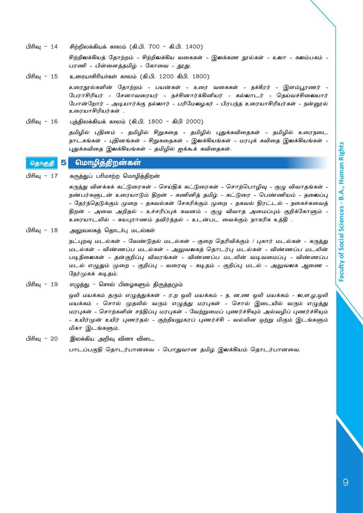பிரிவு - 14 சிற்றிலக்கியக் காலம் (கி.பி. 700 - கி.பி. 1400)

சிற்றிலக்கியத் தோற்றம் - சிற்றிலக்கிய வகைகள் - இலக்கண நூல்கள் - உலா - கலம்பகம் -பரணி - பிள்ளைத்தமிழ் - கோவை - தூது.

பிரிவு - 15 உரையாசிரியர்கள் காலம் (கி.பி. 1200 கிபி. 1800)

உரைநூல்களின் த ோற்றம் - பயன்கள் - உரை வகைகள் - நக்கீரர் - இளம்பூரணர் - பேராசிரியர் - சேனாவரையர் - நச்சினார்க்கினியர் - கல்லாடர் - தெய்வச்சிலையார் ப�ோன்றோர் - அடியார்க்கு நல்லார் - பரிமேலழகர் - பிரபந்த உரையாசிரியர்கள் - நன்னூல் உரையாசிரியர்கள் .

பிரிவு - 16 புத்திலக்கியக் காலம் (கி.பி. 1800 - கிபி 2000)

தமிழில் புதினம் - தமிழில் சிறுகதை - தமிழில் புதுக்கவிதைகள் - தமிழில் உரைநடை நாடகங்கள் - புதினங்கள் - சிறுகதைகள் - இலக்கியங்கள் - மரபுக் கவிதை இலக்கியங்கள் - புதுக்கவிதை இலக்கியங்கள் - தமிழில் ஐக்கூக் கவிதைகள்.

#### <sub>தொகுதி</sub> 5 மொழித்திறன்கள்

பிரிவு - 17 கருத்துப் பரிமாற்ற மொழித்திறன்

கருத்து விளக்கக் கட்டுரைகள் - செய்திக் கட்டுரைகள் - சொற்பொழிவு - குழு விவாதங்கள் - நண்பர்களுடன் உரையாடும் திறன் - கணினித் தமிழ் - கட்டுரை - பெண்ணியம் - தலைப்பு - தேர்ந்தெடுக்கும் முறை - தகவல்கள் சேகரிக்கும் முறை - தகவல் திரட்டல் - நகைச்சுவைத் திறன் - அவை அறிதல் - உச்சரிப்புக் கவனம் - குழு விவாத அமைப்பும் குறிக்கோளும் - உரையாடலில் - சுயபுராணம் தவிர்த்தல் - உடன்பட வைக்கும் நாகரிக உத்தி .

பிரிவு - 18 அலுவலகத் தொடர்பு மடல்கள்

நட்புறவு மடல்கள் - வேண்டுதல் மடல்கள் - குறை தெரிவிக்கும் / புகார் மடல்கள் - கருத்து மடல்கள் - விண்ணப்ப மடல்கள் - அலுவலகத் தொடர்பு மடல்கள் - விண்ணப்ப மடலின் படிநிலைகள் - தன்குறிப்பு விவரங்கள் - விண்ணப்ப மடலின் வடிவமைப்பு - விண்ணப்ப மடல் எழுதும் முறை - குறிப்பு - வரைவு - கடிதம் - குறிப்பு மடல் - அலுவலக ஆணை - நேர்முகக் கடிதம்.

பிரிவு - 19 எழுத்து - சொல் பிழைகளும் திருத்தமும்

ஒலி மயக்கம் தரும் எழுத்துக்கள் - ர,ற ஒலி மயக்கம் - ந, ன,ண ஒலி மயக்கம் - ல,ள,ழ,ஒலி மயக்கம் - சொல் முதலில் வரும் எழுத்து மரபுகள் - சொல் இடையில் வரும் எழுத்து மரபுகள் - சொற்களின் சந்திப்பு மரபுகள் - வேற்றுமைப் புணர்ச்சியும் அல்வழிப் புணர்ச்சியும் - உயிர்முன் உயிர் புணர்தல் - குற்றியலுகரப் புணர்ச்சி - வல்லின ஒற்று மிகும் இடங்களும் மிகா இடங்களும்.

பிரிவு - 20 இலக்கிய அறிவு வினா விடை

பாடப்பகுதி தொடர்பானவை - ப�ொதுவான தமிழ் இலக்கியம் தொடர்பானவை.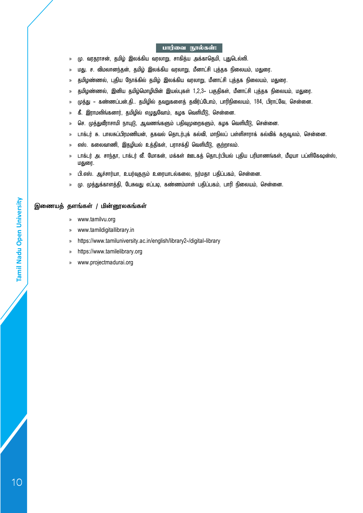#### பார்வை நூல்கள்:

- » மு. வரதராசன், தமிழ் இலக்கிய வரலாறு, சாகித்ய அக்காதெமி, புதுடெல்லி.
- » மது. ச. விமலானந்தன், தமிழ் இலக்கிய வரலாறு, மீனாட்சி புத்தக நிலையம், மதுரை.
- » தமிழண்ணல், புதிய நோக்கில் தமிழ் இலக்கிய வரலாறு, மீனாட்சி புத்தக நிலையம், மதுரை.
- » தமிழண்ணல், இனிய தமிழ்மொழியின் இயல்புகள் 1,2,3- பகுதிகள், மீனாட்சி புத்தக நிலையம், மதுரை.
- » முத்து கண்ணப்பன்,தி.. தமிழில் தவறுகளைத் தவிர்ப்போம், பாரிநிலையம், 184, பிராட்வே, சென்னை.
- » கீ. இராமலிங்கனார், தமிழில் எழுதுவோம், கழக வெளியீடு, சென்னை.
- » செ. முத்துவீராசாமி நாயுடு, ஆவணங்களும் பதிவுமுறைகளும், கழக வெளியீடு, சென்னை.
- » டாக்டர் சு. பாலசுப்பிரமணியன், தகவல் தொடர்புக் கல்வி, மாநிலப் பள்ளிசாராக் கல்விக் கருவூலம், சென்னை.
- » எஸ். கலைவாணி, இதழியல் உத்திகள், பராசக்தி வெளியீடு, குற்றாலம்.
- » டாக்டர் அ. சாந்தா, டாக்டர் வீ. மோகன், மக்கள் ஊடகத் தொடர்பியல் புதிய பரிமாணங்கள், மீடியா பப்ளிகேஷன்ஸ், மதுரை.
- » பி.எஸ். ஆச்சார்யா, உயர்வுதரும் உரையாடல்கலை, நர்மதா பதிப்பகம், சென்னை.
- » மு. முத்துக்காளத்தி, பேசுவது எப்படி, கண்ணம்மாள் பதிப்பகம், பாரி நிலையம், சென்னை.

#### **இணையத் தளங்கள் / மின்னூலகங்கள்**

- » www.tamilvu.org
- » www.tamildigitallibrary.in
- » https://www.tamiluniversity.ac.in/english/library2-/digital-library
- » https://www.tamilelibrary.org
- » www.projectmadurai.org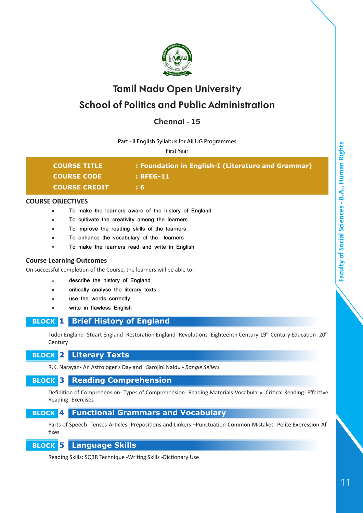

## **Chennai - 15**

Part - II English Syllabus for All UG Programmes

First Year

| <b>COURSE TITLE</b>  | : Foundation in English-I (Literature and Grammar) |
|----------------------|----------------------------------------------------|
| <b>COURSE CODE</b>   | : BFEG-11                                          |
| <b>COURSE CREDIT</b> | : 6.                                               |
|                      |                                                    |

#### **COURSE OBJECTIVES**

- » **To make the learners aware of the history of England**
- » **To cultivate the creativity among the learners**
- » **To improve the reading skills of the learners**
- » **To enhance the vocabulary of the learners**
- » **To make the learners read and write in English**

#### **Course Learning Outcomes**

On successful completion of the Course, the learners will be able to:

- » **describe the history of England**
- » **critically analyse the literary texts**
- » **use the words correctly**
- » **write in flawless English**

#### **BLOCK 1 Brief History of England**

Tudor England- Stuart England -Restoration England -Revolutions -Eighteenth Century-19th Century Education- 20th **Century** 

 **BLOCK 2 Literary Texts**

R.K. Narayan- An Astrologer's Day and Sarojini Naidu - *Bangle Sellers*

## **BLOCK 3 Reading Comprehension**

Definition of Comprehension- Types of Comprehension- Reading Materials-Vocabulary- Critical Reading- Effective Reading- Exercises

## **BLOCK 4 Functional Grammars and Vocabulary**

Parts of Speech- Tenses-Articles -Prepositions and Linkers –Punctuation-Common Mistakes -Polite Expression-Affixes

## **BLOCK 5 Language Skills**

Reading Skills: SQ3R Technique -Writing Skills -Dictionary Use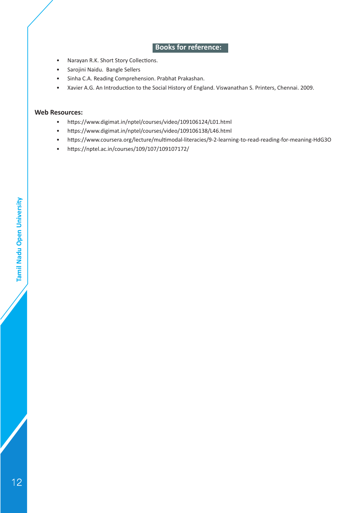## **Books for reference:**

- Narayan R.K. Short Story Collections.
- Sarojini Naidu. Bangle Sellers
- Sinha C.A. Reading Comprehension. Prabhat Prakashan.
- Xavier A.G. An Introduction to the Social History of England. Viswanathan S. Printers, Chennai. 2009.

#### **Web Resources:**

- https://www.digimat.in/nptel/courses/video/109106124/L01.html
- https://www.digimat.in/nptel/courses/video/109106138/L46.html
- https://www.coursera.org/lecture/multimodal-literacies/9-2-learning-to-read-reading-for-meaning-HdG3O
- https://nptel.ac.in/courses/109/107/109107172/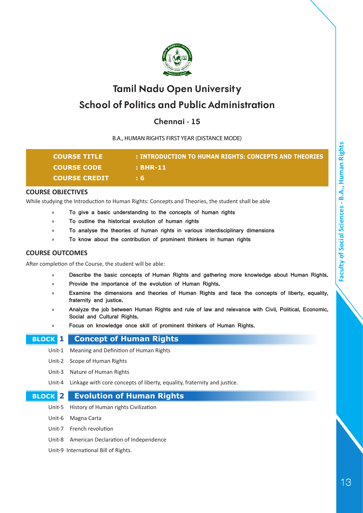

## **Chennai - 15**

B.A., HUMAN RIGHTS FIRST YEAR (DISTANCE MODE)

| <b>COURSE TITLE</b>  | : INTRODUCTION TO HUMAN RIGHTS: CONCEPTS AND THEORIES |
|----------------------|-------------------------------------------------------|
| <b>COURSE CODE</b>   | $\pm$ BHR-11                                          |
| <b>COURSE CREDIT</b> | ÷ 6.                                                  |

#### **COURSE OBJECTIVES**

While studying the Introduction to Human Rights: Concepts and Theories, the student shall be able

- » **To give a basic understanding to the concepts of human rights**
- » **To outline the historical evolution of human rights**
- » **To analyse the theories of human rights in various interdisciplinary dimensions**
- » **To know about the contribution of prominent thinkers in human rights**

#### **COURSE OUTCOMES**

After completion of the Course, the student will be able:

- » **Describe the basic concepts of Human Rights and gathering more knowledge about Human Rights.**
- » **Provide the importance of the evolution of Human Rights.**
- » **Examine the dimensions and theories of Human Rights and face the concepts of liberty, equality, fraternity and justice.**
- » **Analyze the job between Human Rights and rule of law and relevance with Civil, Political, Economic, Social and Cultural Rights.**
- » **Focus on knowledge once skill of prominent thinkers of Human Rights.**

 **BLOCK 1 Concept of Human Rights**

- Unit-1 Meaning and Definition of Human Rights
- Unit-2 Scope of Human Rights
- Unit-3 Nature of Human Rights
- Unit-4 Linkage with core concepts of liberty, equality, fraternity and justice.

#### **BLOCK 2 Evolution of Human Rights**

- Unit-5 History of Human rights Civilization
- Unit-6 Magna Carta
- Unit-7 French revolution
- Unit-8 American Declaration of Independence
- Unit-9 International Bill of Rights.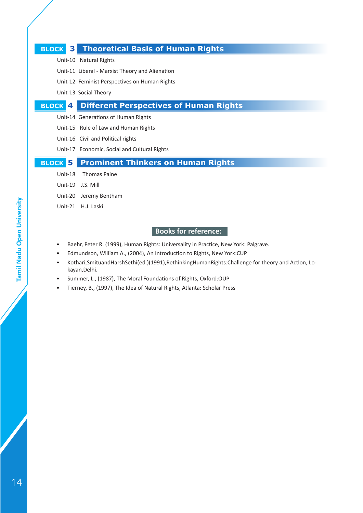### **BLOCK 3 Theoretical Basis of Human Rights**

- Unit-10 Natural Rights
- Unit-11 Liberal Marxist Theory and Alienation
- Unit-12 Feminist Perspectives on Human Rights
- Unit-13 Social Theory

## **BLOCK 4 Different Perspectives of Human Rights**

- Unit-14 Generations of Human Rights
- Unit-15 Rule of Law and Human Rights
- Unit-16 Civil and Political rights
- Unit-17 Economic, Social and Cultural Rights

## **BLOCK 5 Prominent Thinkers on Human Rights**

- Unit-18 Thomas Paine
- Unit-19 J.S. Mill
- Unit-20 Jeremy Bentham
- Unit-21 H.J. Laski

- Baehr, Peter R. (1999), Human Rights: Universality in Practice, New York: Palgrave.
- Edmundson, William A., (2004), An Introduction to Rights, New York:CUP
- Kothari,SmituandHarshSethi(ed.)(1991),RethinkingHumanRights:Challenge for theory and Action, Lokayan,Delhi.
- Summer, L., (1987), The Moral Foundations of Rights, Oxford:OUP
- Tierney, B., (1997), The Idea of Natural Rights, Atlanta: Scholar Press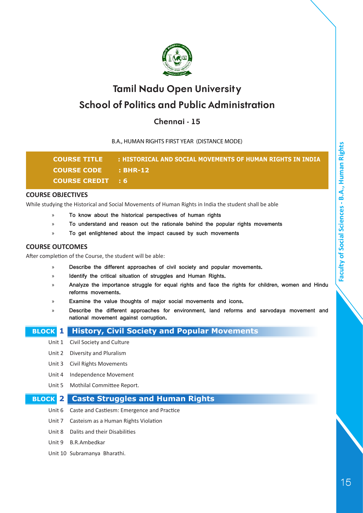

## **Chennai - 15**

B.A., HUMAN RIGHTS FIRST YEAR (DISTANCE MODE)

| <b>COURSE TITLE</b>      | : HISTORICAL AND SOCIAL MOVEMENTS OF HUMAN RIGHTS IN INDIA |
|--------------------------|------------------------------------------------------------|
| COURSE CODE : BHR-12     |                                                            |
| <b>COURSE CREDIT : 6</b> |                                                            |

#### **COURSE OBJECTIVES**

While studying the Historical and Social Movements of Human Rights in India the student shall be able

- » **To know about the historical perspectives of human rights**
- » **To understand and reason out the rationale behind the popular rights movements**
- » **To get enlightened about the impact caused by such movements**

#### **COURSE OUTCOMES**

After completion of the Course, the student will be able:

- » **Describe the different approaches of civil society and popular movements.**
- » **Identify the critical situation of struggles and Human Rights.**
- » **Analyze the importance struggle for equal rights and face the rights for children, women and Hindu reforms movements.**
- » **Examine the value thoughts of major social movements and icons.**
- » **Describe the different approaches for environment, land reforms and sarvodaya movement and national movement against corruption.**

#### **BLOCK 1 History, Civil Society and Popular Movements**

- Unit 1 Civil Society and Culture
- Unit 2 Diversity and Pluralism
- Unit 3 Civil Rights Movements
- Unit 4 Independence Movement
- Unit 5 Mothilal Committee Report.

#### **BLOCK 2 Caste Struggles and Human Rights**

- Unit 6 Caste and Castiesm: Emergence and Practice
- Unit 7 Casteism as a Human Rights Violation
- Unit 8 Dalits and their Disabilities
- Unit 9 B.R.Ambedkar
- Unit 10 Subramanya Bharathi.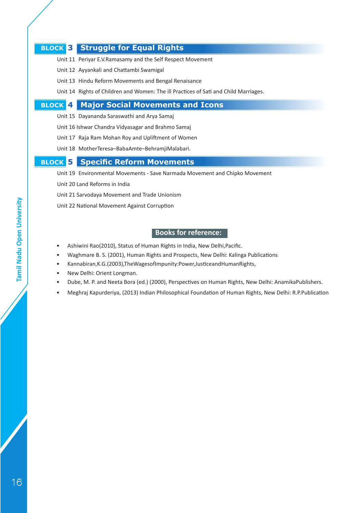### **BLOCK 3 Struggle for Equal Rights**

- Unit 11 Periyar E.V.Ramasamy and the Self Respect Movement
- Unit 12 Ayyankali and Chattambi Swamigal
- Unit 13 Hindu Reform Movements and Bengal Renaisance
- Unit 14 Rights of Children and Women: The ill Practices of Sati and Child Marriages.

#### **BLOCK 4 Major Social Movements and Icons**

- Unit 15 Dayananda Saraswathi and Arya Samaj
- Unit 16 Ishwar Chandra Vidyasagar and Brahmo Samaj
- Unit 17 Raja Ram Mohan Roy and Upliftment of Women
- Unit 18 MotherTeresa–BabaAmte–BehramjiMalabari.

#### **BLOCK 5 Specific Reform Movements**

- Unit 19 Environmental Movements Save Narmada Movement and Chipko Movement
- Unit 20 Land Reforms in India
- Unit 21 Sarvodaya Movement and Trade Unionism
- Unit 22 National Movement Against Corruption

- Ashiwini Rao(2010), Status of Human Rights in India, New Delhi,Pacific.
- Waghmare B. S. (2001), Human Rights and Prospects, New Delhi: Kalinga Publications
- Kannabiran,K.G.(2003),TheWagesofImpunity:Power,JusticeandHumanRights,
- New Delhi: Orient Longman.
- Dube, M. P. and Neeta Bora (ed.) (2000), Perspectives on Human Rights, New Delhi: AnamikaPublishers.
- Meghraj Kapurderiya, (2013) Indian Philosophical Foundation of Human Rights, New Delhi: R.P.Publication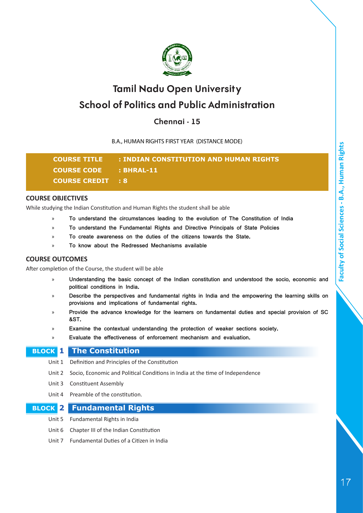

## **Chennai - 15**

B.A., HUMAN RIGHTS FIRST YEAR (DISTANCE MODE)

**COURSE TITLE : INDIAN CONSTITUTION AND HUMAN RIGHTS COURSE CODE : BHRAL-11 COURSE CREDIT : 8**

#### **COURSE OBJECTIVES**

While studying the Indian Constitution and Human Rights the student shall be able

- » **To understand the circumstances leading to the evolution of The Constitution of India**
- » **To understand the Fundamental Rights and Directive Principals of State Policies**
- » **To create awareness on the duties of the citizens towards the State.**
- » **To know about the Redressed Mechanisms available**

#### **COURSE OUTCOMES**

After completion of the Course, the student will be able

- » **Understanding the basic concept of the Indian constitution and understood the socio, economic and political conditions in India.**
- » **Describe the perspectives and fundamental rights in India and the empowering the learning skills on provisions and implications of fundamental rights.**
- » **Provide the advance knowledge for the learners on fundamental duties and special provision of SC &ST.**
- » **Examine the contextual understanding the protection of weaker sections society.**
- » **Evaluate the effectiveness of enforcement mechanism and evaluation.**

#### **BLOCK 1 The Constitution**

- Unit 1 Definition and Principles of the Constitution
- Unit 2 Socio, Economic and Political Conditions in India at the time of Independence
- Unit 3 Constituent Assembly
- Unit 4 Preamble of the constitution.

#### **BLOCK 2 Fundamental Rights**

- Unit 5 Fundamental Rights in India
- Unit 6 Chapter III of the Indian Constitution
- Unit 7 Fundamental Duties of a Citizen in India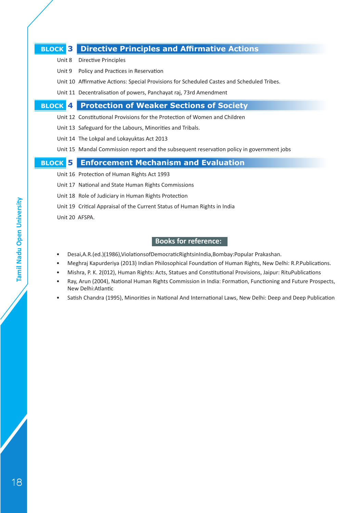### **BLOCK 3 Directive Principles and Affirmative Actions**

- Unit 8 Directive Principles
- Unit 9 Policy and Practices in Reservation
- Unit 10 Affirmative Actions: Special Provisions for Scheduled Castes and Scheduled Tribes.
- Unit 11 Decentralisation of powers, Panchayat raj, 73rd Amendment

#### **BLOCK 4 Protection of Weaker Sections of Society**

- Unit 12 Constitutional Provisions for the Protection of Women and Children
- Unit 13 Safeguard for the Labours, Minorities and Tribals.
- Unit 14 The Lokpal and Lokayuktas Act 2013
- Unit 15 Mandal Commission report and the subsequent reservation policy in government jobs

#### **BLOCK 5 Enforcement Mechanism and Evaluation**

- Unit 16 Protection of Human Rights Act 1993
- Unit 17 National and State Human Rights Commissions
- Unit 18 Role of Judiciary in Human Rights Protection
- Unit 19 Critical Appraisal of the Current Status of Human Rights in India
- Unit 20 AFSPA.

- Desai,A.R.(ed.)(1986),ViolationsofDemocraticRightsinIndia,Bombay:Popular Prakashan.
- Meghraj Kapurderiya (2013) Indian Philosophical Foundation of Human Rights, New Delhi: R.P.Publications.
- Mishra, P. K. 2(012), Human Rights: Acts, Statues and Constitutional Provisions, Jaipur: RituPublications
- Ray, Arun (2004), National Human Rights Commission in India: Formation, Functioning and Future Prospects, New Delhi:Atlantic
- Satish Chandra (1995), Minorities in National And International Laws, New Delhi: Deep and Deep Publication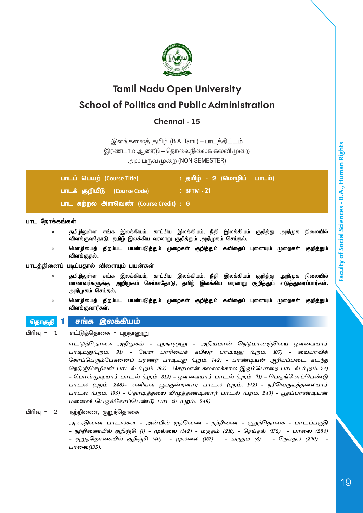

## **Chennai - 15**

இளங்கலைத் தமிழ் (B.A. Tamil) - பாடத்திட்டம்

இரண்டாம் ஆண்டு - தொலைநிலைக் கல்வி முறை

அல் பருவ முறை (NON-SEMESTER)

| பாடப் பெயர் (Course Title)            | : தமிழ் - 2 (மொழிப் பாடம்) <sup>'</sup> |
|---------------------------------------|-----------------------------------------|
| பாடக் குறியீடு (Course Code)          | $\therefore$ BFTM - 21                  |
| பாட கற்றல் அளவெண் (Course Credit) : 6 |                                         |

#### **பாட ந�ோக்கங்கள்**

- » **தமிழிலுள்ள சங்க இலக்கியம், காப்பிய இலக்கியம், நீதி இலக்கியம் குறித்து அறிமுக நிலையில் விளக்குவதோடு, தமிழ் இலக்கிய வரலாறு குறித்தும் அறிமுகம் செய்தல்.**
- » **ம�ொழியைத் திறம்பட பயன்படுத்தும் முறைகள் குறித்தும் கவிதைப் புனையும் முறைகள் குறித்தும் விளக்குதல்.**

#### **பாடத்தினைப் படிப்பதால் விளையும் பயன்கள்**

- » **தமிழிலுள்ள சங்க இலக்கியம், காப்பிய இலக்கியம், நீதி இலக்கியம் குறித்து அறிமுக நிலையில் மாணவர்களுக்கு அறிமுகம் செய்வதோடு, தமிழ் இலக்கிய வரலாறு குறித்தும் எடுத்துரைப்பார்கள். அறிமுகம் செய்தல்.**
- » **ம�ொழியைத் திறம்பட பயன்படுத்தும் முறைகள் குறித்தும் கவிதைப் புனையும் முறைகள் குறித்தும் விளக்குவார்கள்.**

#### தொகுதி 1 சங்க இலக்கியம்

பிரிவு - 1 எட்டுத்தொகை - புறநானூறு

எட்டுத்தொகை அறிமுகம் - புறநானூறு - அதியமான் நெடுமானஞ்சியை ஔவையார் பாடியது(புறம். 91) - வேள் பாரியைக் கபிலர் பாடியது (புறம். 107) - வையாவிக் கோப்பெரும்பேகனைப் பரணர் பாடியது (புறம். 142) - பாண்டியன் ஆரியப்படை கடந்த நெடுஞ்செழியன் பாடல் (புறம். 183) - சேரமான் கணைக்கால் இரும்பொறை பாடல் (புறம். 74) - ப�ொன்முடியார் பாடல் (புறம். 312) - ஔவையார் பாடல் (புறம். 91) - பெருங்கோப்பெண்டு பாடல் (புறம். 248)- கணியன் பூங்குன்றனார் பாடல் (புறம். 192) - நரிவெருஉத்தலையார் பாடல் (புறம். 195) - தொடித்தலை விழுத்தண்டினார் பாடல் (புறம். 243) - பூதப்பாண்டியன் மனைவி பெருங்கோப்பெண்டு பாடல் (புறம். 248)

#### பிரிவு - 2 நற்றிணை, குறுந்தொகை

அகத்திணை பாடல்கள் - அன்பின் ஐந்திணை - நற்றிணை - குறுந்தொகை - பாடப்பகுதி - நற்றிணையில் குறிஞ்சி (1) - முல்லை (142) - மருதம் (210) - நெய்தல் (172) - பாலை (284) - குறுந்தொகையில் குறிஞ்சி (40) - முல்லை (167) - மருதம் (8) - நெய்தல் (290) - பாலை $(135)$ .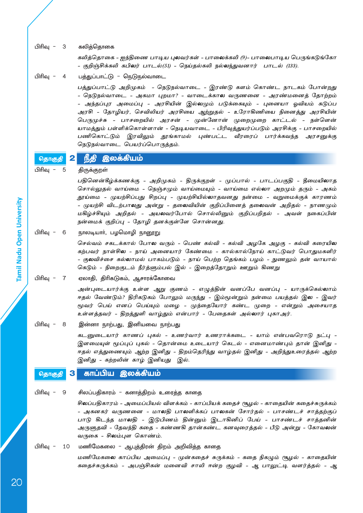பிரிவு - 3 கலித்தொகை

கலித்தொகை - ஐந்திணை பாடிய புலவர்கள் - பாலைக்கலி (9)- பாலைபாடிய பெருங்கடுங்கோ - குறிஞ்சிக்கலி கபிலர் பாடல்(51) - நெய்தல்கலி நல்லந்துவனார் பாடல் (133).

பிரிவு - 4 பத்துப்பாட்டு - நெடுநல்வாடை

பத்துப்பாட்டு அறிமுகம் - நெடுநல்வாடை - இரண்டு களம் கொண்ட நாடகம் ப�ோன்றது - நெடுநல்வாடை - அகமா புறமா? - வாடைக்கால வருணனை - அரண்மனைத் தோற்றம் - அந்தப்புர அமைப்பு - அரசியின் இல்லமும் படுக்கையும் - புனையா ஓவியம் கடுப்ப அரசி - த ோழியர், செவிலியர் அரசியை ஆற்றுதல் - உரோகிணியை நினைத்து அரசியின் பெருமுச்சு - பாசறையில் அரசன் - முன்னோன் முறைமுறை காட்டல் - நள்ளென் யாமத்தும் பள்ளிக்கொள்ளான் - நெடியவாடை - பிரிவுத்துயர்ப்படும் அரசிக்கு - பாசறையில் பணிகொட்டும் இரவிலும் தூங்காமல் புண்பட்ட வீரரைப் பார்க்கவந்த அரசனுக்கு நெடுநல்வாடை பெயர்ப்பொருத்தம்.

தொகுதி 2 நீதி இலக்கியம்

பிரிவு - 5 திருக்குறள்

பதினென்கீழ்க்கணக்கு - அறிமுகம் - திருக்குறள் - முப்பால் - பாடப்பகுதி - தீமையிலாத சொல்லுதல் வாய்மை - நெஞ்சமும் வாய்மையும் - வாய்மை எல்லா அறமும் தரும் - அகம் தூய்மை - முயற்சிப்பது சிறப்பு - முயற்சியில்லாதவனது நன்மை - வறுமைக்குக் காரணம் - முயற்சி விடற்பாலது அன்று - தலைவியின் குறிப்பினைத் தலைவன் அறிதல் - நாணமும் மகிழ்ச்சியும் அறிதல் - அயலவர்போல் சொல்லினும் குறிப்பறிதல் - அவள் நகைப்பின் நன்மைக் குறிப்பு - தோழி தனக்குள்ளே சொன்னது.

பிரிவு - 6 நாலடியார், பழமொழி நானூறு

செல்வம் சகடக்கால் ப�ோல வரும் - பெண் கல்வி - கல்வி அழகே அழகு - கல்வி கரையில கற்பவர் நாள்சில - நாய் அனையார் கேண்மை - கால்கால்நோய் காட்டுவர் பொதுமகளிர் - குலவிச்சை கல்லாமல் பாகம்படும் - நாய் பெற்ற தெங்கம் பழம் - நுணலும் தன் வாயால் கெடும் - நிறைகுடம் நீர்த்ளும்பல் இல் - இறைத்தோறும் ஊறும் கிணறு

பிரிவு - 7 ஏலாதி, திரிகடுகம், ஆசாரக்கோவை

அன்புடையார்க்கு உள்ள ஆறு குணம் - எழுத்தின் வனப்பே வனப்பு - யாருக்கெல்லாம் ஈதல் வேண்டும்? திரிகடுகம் ப�ோலும் மருந்து - இம்மூன்றும் நன்மை பயத்தல் இல - இவர் மூவர் பெய் எனப் பெய்யும் மழை - முந்தையோர் கண்ட முறை - என்றும் அசையாத உள்ளத்தவர் - திறத்துளி வாழ்தும் என்பார் - பேதைகள் அல்லார் புகாஅர்.

பிரிவு - 8 இன்னா நாற்பது, இனியவை நாற்பது

கடனுடையார் காணப் புகல் - உணர்வார் உணராக்கடை - யாம் என்பவரொடு நட்பு - இளமையுள் மூப்புப் புகல் - தொன்மை உடையார் கெடல் - எனைமாண்பும் தான் இனிது - ஈதல் எத்துணையும் ஆற்ற இனிது - திறம்தெரிந்து வாழ்தல் இனிது - அறிந்துஉரைத்தல் ஆற்ற இனிது - கற்றலின் காழ் இனியது இல்.

#### <sub>தொகுதி</sub> 3 காப்பிய இலக்கியம்

பிரிவு - 9 சிலப்பதிகாரம் - கனாத்திறம் உரைத்த காதை

சிலப்பதிகாரம் - அமைப்பியல் விளக்கம் - காப்பியக் கதைச் சூழல் - காதையின் கதைச்சுருக்கம் - அகனகர் வருணனை - மாலதி பாலளிக்கப் பாலகன் சோர்தல் - பாசண்டச் சாத்தற்குப் பாடு கிடந்த மாலதி - இடுபிணம் தின்னும் இடாகினிப் பேய் - பாசண்டச் சாத்தனின் அருளுதவி - தேவந்தி கதை - கண்ணகி தான்கண்ட கனவுரைத்தல் - பீடு அன்று - கோவலன் வருகை - சிலம்புள கொண்ம்.

பிரிவு - 10 மணிமேகலை - ஆபுத்திரன் திறம் அறிவித்த காதை

மணிமேகலை காப்பிய அமைப்பு - முன்கதைச் சுருக்கம் - கதை நிகழும் சூழல் - காதையின் கதைச்சுருக்கம் - அபஞ்சிகன் மனைவி சாலி ஈன்ற குழவி - ஆ பாலுட்டி வளர்த்தல் - ஆ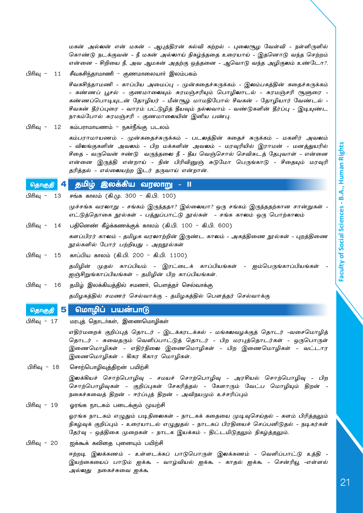மகன் அல்லன் என் மகன் - ஆபுத்திரன் கல்வி கற்றல் - புலைசூழ வேள்வி - நள்ளிருளில் கொண்டு நடக்குவன் - நீ மகன் அல்லாய் நிகழ்ந்ததை உரையாய் - இதனொடு வந்த செற்றம் என்னை - சிறியை நீ, அவ ஆமகன் அதற்கு ஒத்தனை - ஆவொடு வந்த அழிகுலம் உண்டோ?.

பிரிவு - 11 சீவகசிந்தாமாணி - குணமாலையார் இலம்பகம்

சீவகசிந்தாமணி - காப்பிய அமைப்பு - முன்கதைச்சுருக்கம் - இலம்பகத்தின் கதைச்சுருக்கம் - கண்ணப் பூசல் - குணமாலையும் சுரமஞ்சரியும் பொழிலாடல் - சுரமஞ்சரி சூளுரை -கண்ணப்பொடியுடன் தோழியர் - மீன்சூழ் மாமதிபோல் சீவகன் - தோழியார் வேண்டல் -சீவகன் தீர்ப்புரை - வாரம் பட்டுழித் தீயவும் நல்லவாம் - வண்டுகளின் தீர்ப்பு - இடியுண்ட நாகம்போல் சுரமஞ்சரி - குணமாலையின் இனிய பண்பு.

பிரிவு - 12 கம்பராமாயணம் - நகர்நீங்கு படலம்

கம்பராமாயணம் - முன்கதைச்சுருக்கம் - படலத்தின் கதைச் சுருக்கம் - மகளிர் அவலம் - விலங்குகளின் அவலம் - பிற மக்களின் அவலம் - மரவுரியில் இராமன் - மனத்துயரில் சீதை - வருவென் ஈண்டு வருந்தலை நீ - தீய வெஞ்சொல் செவிசுடத் தேபுவாள் - என்னை என்னை இருத்தி என்றாய் - நின் பிரிவினுஞ் சுடுமோ பெருங்காடு - சீதையும் மரவுரி தரித்தல் - எல்லையற்ற இடர் தருவாய் என்றான்.

#### தொகுதி 4 தமிழ் இலக்கிய வரலாறு - II

பிரிவு - 13 சங்க காலம் (கி.மு. 300 - கி.பி. 100) முச்சங்க வரலாறு - சங்கம் இருந்ததா? இல்லையா? ஒரு சங்கம் இருந்ததற்கான சான்றுகள் - எட்டுத்தொகை நூல்கள் - பத்துப்பாட்டு நூல்கள் - சங்க காலம் ஒரு ப�ொற்காலம் பிரிவு - 14 பதினெண் கீழ்க்கணக்குக் காலம் (கி.பி. 100 - கி.பி. 600)

- களப்பிரர் காலம் தமிழக வரலாற்றின் இருண்ட காலம் அகத்திணை நூல்கள் புறத்திணை நூல்களில் ப�ோர் பற்றியது - அறநூல்கள்
- பிரிவு 15 காப்பிய காலம் (கி.பி. 200 கி.பி. 1100) தமிழின் முதல் காப்பியம் - இரட்டைக் காப்பியங்கள் - ஐம்பெருங்காப்பியங்கள் ஐஞ்சிறுங்காப்பியங்கள் - தமிழின் பிற காப்பியங்கள்.
- பிரிவு 16 தமிழ் இலக்கியத்தில் சமணர், பௌத்தர் செல்வாக்கு தமிழகத்தில் சமணர் செல்வாக்கு - தமிழகத்தில் ப�ௌத்தர் செல்வாக்கு

#### தொகுத<mark>ி 5</mark> மொழிப் பயன்பாடு

பிரிவு - 17 மரபுத் தொடர்கள், இணைமொழிகள்

எதிர்மறைக் குறிப்புத் தொடர் - இடக்கரடக்கல் - மங்கலவழக்குத் தொடர் -வசைமொழித் தொடர் - சுவைதரும் வெளிப்பாட்டுத் தொடர் - பிற மரபுத்தொடர்கள் - ஒருபொருள் இணைமொழிகள் - எதிர்நிலை இணைமொழிகள் - பிற இணைமொழிகள் - வட்டார இணைமொழிகள் - கிகர கீகார மொழிகள்.

பிரிவு - 18 சொற்பொழிவுத்திறன் பயிற்சி

இலக்கியச் சொற்பொழிவு - சமயச் சொற்பொழிவு - அரசியல் சொற்பொழிவு - பிற சொற்பொழிவுகள் - குறிப்புகள் சேகரித்தல் - கேளாரும் வேட்ப மொழியும் திறன் - நகைச்சுவைத் திறன் - ஈர்ப்புத் திறன் - அவிநயமும் உச்சரிப்பும்

பிரிவு - 19 ஓரங்க நாடகம் படைக்கும் முயற்சி

ஓரங்க நாடகம் எழுதும் படிநிலைகள் - நாடகக் கதையை முடிவுசெய்தல் - களம் பிரித்தலும் நிகழ்வுக் குறிப்பும் - உரையாடல் எழுதுதல் - நாடகப் பிரதியைச் செப்பனிடுதல் - நடிகர்கள் தேர்வு - ஒத்திகை முறைகள் - நாடக இயக்கம் - திட்டமிடுதலும் நிகழ்த்தலும்.

பிரிவு - 20 ஐக்கூக் கவிதை புனையும் பயிற்சி

ஈற்றடி இலக்கணம் - உள்ளடக்கப் பாடுபொருள் இலக்கணம் - வெளிப்பாட்டு உத்தி -இயற்கையைப் பாடும் ஐக்கூ - வாழ்வியல் ஐக்கூ - காதல் ஐக்கூ - சென்ரியூ -எள்ளல் அல்லது நகைச்சுவை ஐக்கூ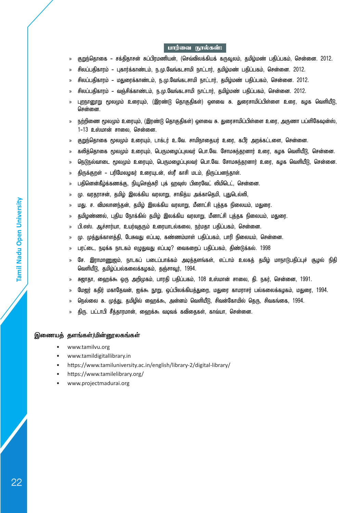#### பார்வை நூல்கள்:

- » குறுந்தொகை சக்திதாசன் சுப்பிரமணியன், (செவ்விலக்கியக் கருவூலம், தமிழ்மண் பதிப்பகம், சென்னை. 2012.
- » சிலப்பதிகாரம் புகார்க்காண்டம், ந.மு.வேங்கடசாமி நாட்டார், தமிழ்மண் பதிப்பகம், சென்னை. 2012.
- » சிலப்பதிகாரம் மதுரைக்காண்டம், ந.மு.வேங்கடசாமி நாட்டார், தமிழ்மண் பதிப்பகம், சென்னை. 2012.
- » சிலப்பதிகாரம் வஞ்சிக்காண்டம், ந.மு.வேங்கடசாமி நாட்டார், தமிழ்மண் பதிப்பகம், சென்னை. 2012.
- » புறநானூறு மூலமும் உரையும், (இரண்டு தொகுதிகள்) ஔவை சு. துரைசாமிப்பிள்ளை உரை, கழக வெளியீடு, சென்னை.
- » நற்றிணை மூலமும் உரையும், (இரண்டு தொகுதிகள்) ஔவை சு. துரைசாமிப்பிள்ளை உரை, அருணா பப்ளிகேஷன்ஸ், 1-13 உஸ்மான் சாலை, சென்னை.
- » குறுந்தொகை மூலமும் உரையும், டாக்டர் உ.வே. சாமிநாதையர் உரை, கபீர் அறக்கட்டளை, சென்னை.
- » கலித்தொகை மூலமும் உரையும், பெருமழைப்புலவர் பொ.வே. சோமசுந்தரனார் உரை, கழக வெளியீடு, சென்னை.
- » நெடுநல்வாடை மூலமும் உரையும், பெருமழைப்புலவர் பொ.வே. சோமசுந்தரனார் உரை, கழக வெளியீடு, சென்னை.
- » திருக்குறள் பரிமேலழகர் உரையுடன், ஸ்ரீ காசி மடம், திருப்பனந்தாள்.
- » பதினென்கீழ்க்கணக்கு, நியூசெஞ்சுரி புக் ஹவுஸ் பிரைவேட் லிமிடெட், சென்னை.
- » மு. வரதராசன், தமிழ் இலக்கிய வரலாறு, சாகித்ய அக்காதெமி, புதுடெல்லி,
- » மது. ச. விமலானந்தன், தமிழ் இலக்கிய வரலாறு, மீனாட்சி புத்தக நிலையம், மதுரை.
- » தமிழண்ணல், புதிய நோக்கில் தமிழ் இலக்கிய வரலாறு, மீனாட்சி புத்தக நிலையம், மதுரை.
- » பி.எஸ். ஆச்சார்யா, உயர்வுதரும் உரையாடல்கலை, நர்மதா பதிப்பகம், சென்னை.
- » மு. முத்துக்காளத்தி, பேசுவது எப்படி, கண்ணம்மாள் பதிப்பகம், பாரி நிலையம், சென்னை.
- » பரட்டை, நடிக்க நாடகம் எழுதுவது எப்படி? வைகறைப் பதிப்பகம், திண்டுக்கல். 1998
- » சே. இராமாணுஜம், நாடகப் படைப்பாக்கம் அடித்தளங்கள், எட்டாம் உலகத் தமிழ் மாநாடுபதிப்புச் சூழல் நிதி வெளியீடு, தமிழ்ப்பல்கலைக்கழகம், தஞ்சாவூர், 1994.
- » சுஜாதா, ஹைக்கூ ஒரு அறிமுகம், பாரதி பதிப்பகம், 108 உஸ்மான் சாலை, தி. நகர், சென்னை, 1991.
- » மேஜர் கதிர் மகாதேவன், ஐக்கூ நூறு, ஒப்பிலக்கியத்துறை, மதுரை காமராசர் பல்கலைக்கழகம், மதுரை, 1994.
- » நெல்லை சு. முத்து, தமிழில் ஹைக்கூ, அன்னம் வெளியீடு, சிவன்கோயில் தெரு, சிவகங்கை, 1994.
- » திரு. பட்டாபி சீத்தாரமான், ஹைக்கூ வடிவக் கவிதைகள், காவ்யா, சென்னை.

#### **இணையத் தளங்கள்/மின்னூலகங்கள்**

- www.tamilvu.org
- www.tamildigitallibrary.in
- https://www.tamiluniversity.ac.in/english/library-2/digital-library/
- https://www.tamilelibrary.org/
- www.projectmadurai.org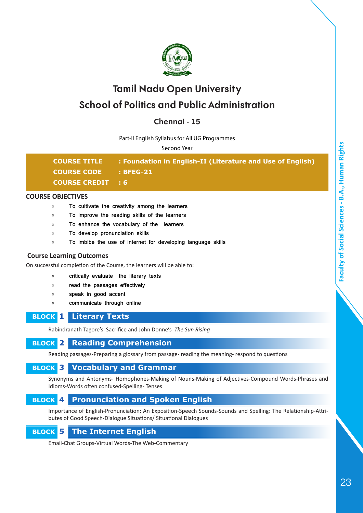

## **Chennai - 15**

#### Part-II English Syllabus for All UG Programmes

Second Year

| <b>COURSE TITLE</b>      | : Foundation in English-II (Literature and Use of English) |
|--------------------------|------------------------------------------------------------|
| <b>COURSE CODE</b>       | <b>BFEG-21</b>                                             |
| <b>COURSE CREDIT : 6</b> |                                                            |

#### **COURSE OBJECTIVES**

- » **To cultivate the creativity among the learners**
- » **To improve the reading skills of the learners**
- » **To enhance the vocabulary of the learners**
- » **To develop pronunciation skills**
- » **To imbibe the use of internet for developing language skills**

#### **Course Learning Outcomes**

On successful completion of the Course, the learners will be able to:

- » **critically evaluate the literary texts**
- » **read the passages effectively**
- » **speak in good accent**
- » **communicate through online**

#### **BLOCK 1 Literary Texts**

Rabindranath Tagore's Sacrifice and John Donne's *The Sun Rising*

## **BLOCK 2 Reading Comprehension**

Reading passages-Preparing a glossary from passage- reading the meaning- respond to questions

## **BLOCK 3 Vocabulary and Grammar**

Synonyms and Antonyms- Homophones-Making of Nouns-Making of Adjectives-Compound Words-Phrases and Idioms-Words often confused-Spelling- Tenses

## **BLOCK 4 Pronunciation and Spoken English**

Importance of English-Pronunciation: An Exposition-Speech Sounds-Sounds and Spelling: The Relationship-Attributes of Good Speech-Dialogue Situations/ Situational Dialogues

## **BLOCK 5 The Internet English**

Email-Chat Groups-Virtual Words-The Web-Commentary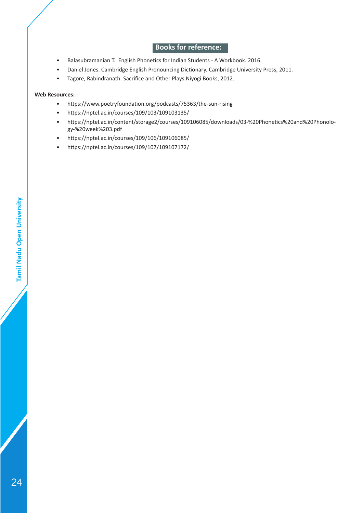## **Books for reference:**

- Balasubramanian T. English Phonetics for Indian Students A Workbook. 2016.
- Daniel Jones. Cambridge English Pronouncing Dictionary. Cambridge University Press, 2011.
- Tagore, Rabindranath. Sacrifice and Other Plays.Niyogi Books, 2012.

#### **Web Resources:**

- https://www.poetryfoundation.org/podcasts/75363/the-sun-rising
- https://nptel.ac.in/courses/109/103/109103135/
- https://nptel.ac.in/content/storage2/courses/109106085/downloads/03-%20Phonetics%20and%20Phonology-%20week%203.pdf
- https://nptel.ac.in/courses/109/106/109106085/
- https://nptel.ac.in/courses/109/107/109107172/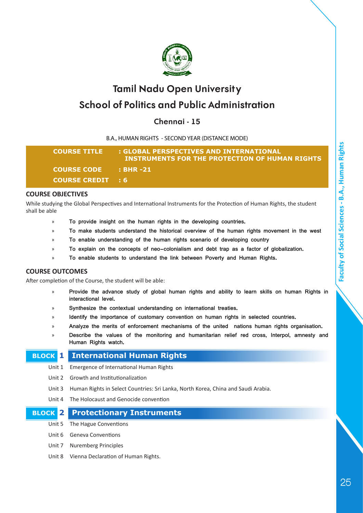

## **Chennai - 15**

B.A., HUMAN RIGHTS - SECOND YEAR (DISTANCE MODE)

| <b>COURSE TITLE</b>      | : GLOBAL PERSPECTIVES AND INTERNATIONAL<br>INSTRUMENTS FOR THE PROTECTION OF HUMAN RIGHTS |
|--------------------------|-------------------------------------------------------------------------------------------|
| <b>COURSE CODE</b>       | <b>BHR-21</b>                                                                             |
| <b>COURSE CREDIT : 6</b> |                                                                                           |

#### **COURSE OBJECTIVES**

While studying the Global Perspectives and International Instruments for the Protection of Human Rights, the student shall be able

- » **To provide insight on the human rights in the developing countries.**
- » **To make students understand the historical overview of the human rights movement in the west**
- » **To enable understanding of the human rights scenario of developing country**
- » **To explain on the concepts of neo-colonialism and debt trap as a factor of globalization.**
- » **To enable students to understand the link between Poverty and Human Rights.**

#### **COURSE OUTCOMES**

After completion of the Course, the student will be able:

- » **Provide the advance study of global human rights and ability to learn skills on human Rights in interactional level.**
- » **Synthesize the contextual understanding on international treaties.**
- » **Identify the importance of customary convention on human rights in selected countries.**
- » **Analyze the merits of enforcement mechanisms of the united nations human rights organisation.**
- » **Describe the values of the monitoring and humanitarian relief red cross, Interpol, amnesty and Human Rights watch.**

#### **BLOCK 1 International Human Rights**

- Unit 1 Emergence of International Human Rights
- Unit 2 Growth and Institutionalization
- Unit 3 Human Rights in Select Countries: Sri Lanka, North Korea, China and Saudi Arabia.
- Unit 4 The Holocaust and Genocide convention

#### **BLOCK 2 Protectionary Instruments**

- Unit 5 The Hague Conventions
- Unit 6 Geneva Conventions
- Unit 7 Nuremberg Principles
- Unit 8 Vienna Declaration of Human Rights.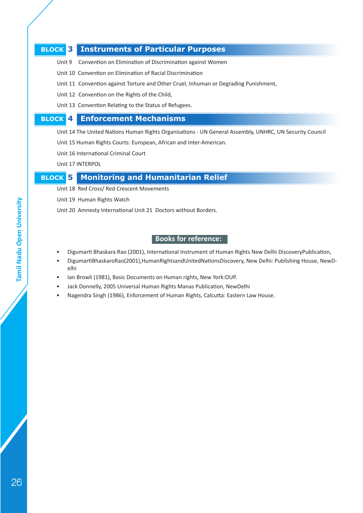#### **BLOCK 3 Instruments of Particular Purposes**

- Unit 9 Convention on Elimination of Discrimination against Women
- Unit 10 Convention on Elimination of Racial Discrimination
- Unit 11 Convention against Torture and Other Cruel, Inhuman or Degrading Punishment,
- Unit 12 Convention on the Rights of the Child,
- Unit 13 Convention Relating to the Status of Refugees.

### **BLOCK 4 Enforcement Mechanisms**

Unit 14 The United Nations Human Rights Organisations - UN General Assembly, UNHRC, UN Security Council

Unit 15 Human Rights Courts: European, African and Inter-American.

- Unit 16 International Criminal Court
- Unit 17 INTERPOL

#### **BLOCK 5 Monitoring and Humanitarian Relief**

Unit 18 Red Cross/ Red Crescent Movements

- Unit 19 Human Rights Watch
- Unit 20 Amnesty International Unit 21 Doctors without Borders.

- Digumarti Bhaskara Rao (2001), International Instrument of Human Rights New Delhi DiscoveryPublication,
- DigumartiBhaskaroRao(2001),HumanRightsandUnitedNationsDiscovery, New Delhi: Publishing House, NewDelhi
- Ian Browli (1981), Basic Documents on Human rights, New York:OUP.
- Jack Donnelly, 2005 Universal Human Rights Manas Publication, NewDelhi
- Nagendra Singh (1986), Enforcement of Human Rights, Calcutta: Eastern Law House.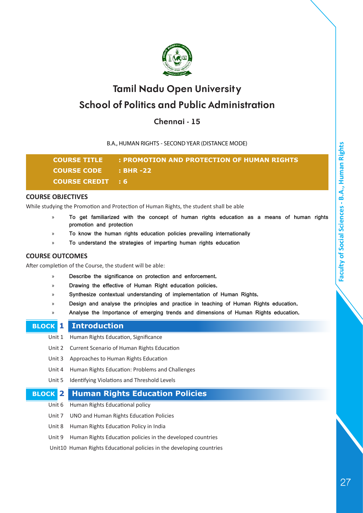

## **Chennai - 15**

B.A., HUMAN RIGHTS - SECOND YEAR (DISTANCE MODE)

**COURSE TITLE : PROMOTION AND PROTECTION OF HUMAN RIGHTS COURSE CODE : BHR -22 COURSE CREDIT : 6**

#### **COURSE OBJECTIVES**

While studying the Promotion and Protection of Human Rights, the student shall be able

- » **To get familiarized with the concept of human rights education as a means of human rights promotion and protection**
- » **To know the human rights education policies prevailing internationally**
- » **To understand the strategies of imparting human rights education**

#### **COURSE OUTCOMES**

After completion of the Course, the student will be able:

- » **Describe the significance on protection and enforcement.**
- » **Drawing the effective of Human Right education policies.**
- » **Synthesize contextual understanding of implementation of Human Rights.**
- » **Design and analyse the principles and practice in teaching of Human Rights education.**
- » **Analyse the Importance of emerging trends and dimensions of Human Rights education.**

#### **BLOCK 1 Introduction**

- Unit 1 Human Rights Education, Significance
- Unit 2 Current Scenario of Human Rights Education
- Unit 3 Approaches to Human Rights Education
- Unit 4 Human Rights Education: Problems and Challenges
- Unit 5 Identifying Violations and Threshold Levels

### **BLOCK 2 Human Rights Education Policies**

- Unit 6 Human Rights Educational policy
- Unit 7 UNO and Human Rights Education Policies
- Unit 8 Human Rights Education Policy in India
- Unit 9 Human Rights Education policies in the developed countries

Unit10 Human Rights Educational policies in the developing countries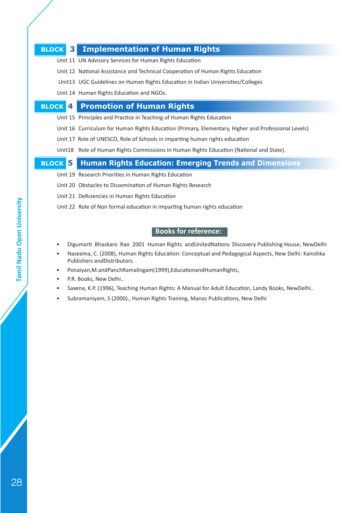#### **BLOCK 3 Implementation of Human Rights**

- Unit 11 UN Advisory Services for Human Rights Education
- Unit 12 National Assistance and Technical Cooperation of Human Rights Education
- Unit13 UGC Guidelines on Human Rights Education in Indian Universities/Colleges
- Unit 14 Human Rights Education and NGOs.

#### **BLOCK 4 Promotion of Human Rights**

- Unit 15 Principles and Practice in Teaching of Human Rights Education
- Unit 16 Curriculum for Human Rights Education (Primary, Elementary, Higher and Professional Levels)
- Unit 17 Role of UNESCO, Role of Schools in imparting human rights education
- Unit18 Role of Human Rights Commissions in Human Rights Education (National and State).

## **BLOCK 5 Human Rights Education: Emerging Trends and Dimensions**

- Unit 19 Research Priorities in Human Rights Education
- Unit 20 Obstacles to Dissemination of Human Rights Research
- Unit 21 Deficiencies in Human Rights Education
- Unit 22 Role of Non formal education in imparting human rights education

- Digumarti Bhaskaro Rao 2001 Human Rights andUnitedNations Discovery Publishing House, NewDelhi
- Naseema, C. (2008), Human Rights Education: Conceptual and Pedagogical Aspects, New Delhi: Kanishka Publishers andDistributors.
- Ponaiyan,M.andPanchRamalingam(1999),EducationandHumanRights,
- P.R. Books, New Delhi..
- Saxena, K.P. (1996), Teaching Human Rights: A Manual for Adult Education, Landy Books, NewDelhi..
- Subramaniyam, S (2000)., Human Rights Training, Manas Publications, New Delhi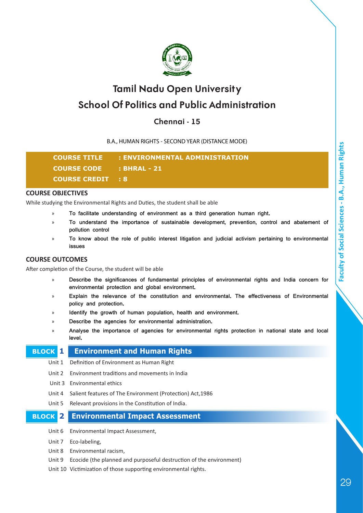

## **Chennai - 15**

B.A., HUMAN RIGHTS - SECOND YEAR (DISTANCE MODE)

**COURSE TITLE : ENVIRONMENTAL ADMINISTRATION COURSE CODE : BHRAL - 21 COURSE CREDIT : 8**

#### **COURSE OBJECTIVES**

While studying the Environmental Rights and Duties, the student shall be able

- » **To facilitate understanding of environment as a third generation human right.**
- » **To understand the importance of sustainable development, prevention, control and abatement of pollution control**
- » **To know about the role of public interest litigation and judicial activism pertaining to environmental issues**

#### **COURSE OUTCOMES**

After completion of the Course, the student will be able

- » **Describe the significances of fundamental principles of environmental rights and India concern for environmental protection and global environment.**
- » **Explain the relevance of the constitution and environmental. The effectiveness of Environmental policy and protection.**
- » **Identify the growth of human population, health and environment.**
- » **Describe the agencies for environmental administration.**
- » **Analyse the importance of agencies for environmental rights protection in national state and local level.**

#### **BLOCK 1 Environment and Human Rights**

- Unit 1 Definition of Environment as Human Right
- Unit 2 Environment traditions and movements in India
- Unit 3 Environmental ethics
- Unit 4 Salient features of The Environment (Protection) Act,1986
- Unit 5 Relevant provisions in the Constitution of India.

#### **BLOCK 2 Environmental Impact Assessment**

- Unit 6 Environmental Impact Assessment,
- Unit 7 Eco-labeling,
- Unit 8 Environmental racism,
- Unit 9 Ecocide (the planned and purposeful destruction of the environment)
- Unit 10 Victimization of those supporting environmental rights.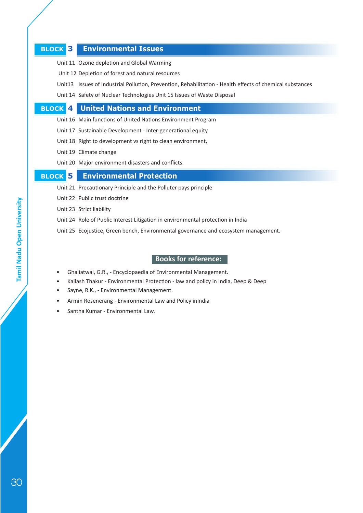#### **BLOCK 3 Environmental Issues**

- Unit 11 Ozone depletion and Global Warming
- Unit 12 Depletion of forest and natural resources
- Unit13 Issues of Industrial Pollution, Prevention, Rehabilitation Health effects of chemical substances
- Unit 14 Safety of Nuclear Technologies Unit 15 Issues of Waste Disposal

#### **BLOCK 4 United Nations and Environment**

- Unit 16 Main functions of United Nations Environment Program
- Unit 17 Sustainable Development Inter-generational equity
- Unit 18 Right to development vs right to clean environment,
- Unit 19 Climate change
- Unit 20 Major environment disasters and conflicts.

#### **BLOCK 5 Environmental Protection**

- Unit 21 Precautionary Principle and the Polluter pays principle
- Unit 22 Public trust doctrine
- Unit 23 Strict liability
- Unit 24 Role of Public Interest Litigation in environmental protection in India
- Unit 25 Ecojustice, Green bench, Environmental governance and ecosystem management.

- Ghaliatwal, G.R., Encyclopaedia of Environmental Management.
- Kailash Thakur Environmental Protection law and policy in India, Deep & Deep
- Sayne, R.K., Environmental Management.
- Armin Rosenerang Environmental Law and Policy inIndia
- Santha Kumar Environmental Law.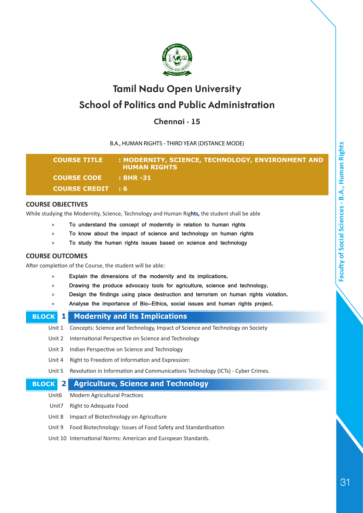

## **Chennai - 15**

B.A., HUMAN RIGHTS - THIRD YEAR (DISTANCE MODE)

| <b>COURSE TITLE</b>                              | : MODERNITY, SCIENCE, TECHNOLOGY, ENVIRONMENT AND<br><b>HUMAN RIGHTS</b> |
|--------------------------------------------------|--------------------------------------------------------------------------|
| COURSE CODE : BHR -31                            |                                                                          |
| <b>COURSE CREDIT : 6 <math>^{\dagger}</math></b> |                                                                          |

#### **COURSE OBJECTIVES**

While studying the Modernity, Science, Technology and Human Rig**hts,** the student shall be able

- » **To understand the concept of modernity in relation to human rights**
- » **To know about the impact of science and technology on human rights**
- » **To study the human rights issues based on science and technology**

#### **COURSE OUTCOMES**

After completion of the Course, the student will be able:

- » **Explain the dimensions of the modernity and its implications.**
- » **Drawing the produce advocacy tools for agriculture, science and technology.**
- » **Design the findings using place destruction and terrorism on human rights violation.**
- » **Analyse the importance of Bio-Ethics, social issues and human rights project.**

| <b>Modernity and its Implications</b><br>$1\vert$                                        |
|------------------------------------------------------------------------------------------|
| Concepts: Science and Technology, Impact of Science and Technology on Society<br>Unit 1  |
| International Perspective on Science and Technology<br>Unit 2                            |
| Indian Perspective on Science and Technology<br>Unit 3                                   |
| Right to Freedom of Information and Expression:<br>Unit 4                                |
| Revolution in Information and Communications Technology (ICTs) - Cyber Crimes.<br>Unit 5 |
| <b>Agriculture, Science and Technology</b><br>$\mathbf{2}$                               |
|                                                                                          |

- Unit6 Modern Agricultural Practices
- Unit7 Right to Adequate Food
- Unit 8 Impact of Biotechnology on Agriculture
- Unit 9 Food Biotechnology: Issues of Food Safety and Standardisation
- Unit 10 International Norms: American and European Standards.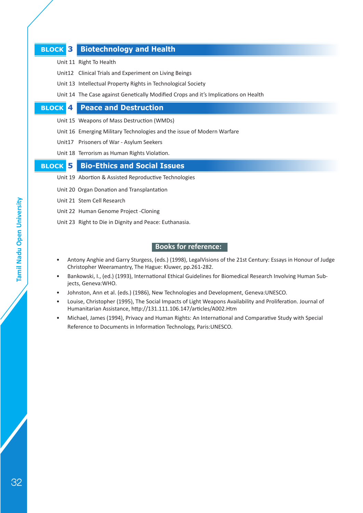#### **BLOCK 3 Biotechnology and Health**

- Unit 11 Right To Health
- Unit12 Clinical Trials and Experiment on Living Beings
- Unit 13 Intellectual Property Rights in Technological Society
- Unit 14 The Case against Genetically Modified Crops and it's Implications on Health

#### **BLOCK 4 Peace and Destruction**

- Unit 15 Weapons of Mass Destruction (WMDs)
- Unit 16 Emerging Military Technologies and the issue of Modern Warfare
- Unit17 Prisoners of War Asylum Seekers
- Unit 18 Terrorism as Human Rights Violation.

#### **BLOCK 5 Bio-Ethics and Social Issues**

- Unit 19 Abortion & Assisted Reproductive Technologies
- Unit 20 Organ Donation and Transplantation
- Unit 21 Stem Cell Research
- Unit 22 Human Genome Project -Cloning
- Unit 23 Right to Die in Dignity and Peace: Euthanasia.

- Antony Anghie and Garry Sturgess, (eds.) (1998), LegalVisions of the 21st Century: Essays in Honour of Judge Christopher Weeramantry, The Hague: Kluwer, pp.261-282.
- Bankowski, I., (ed.) (1993), International Ethical Guidelines for Biomedical Research Involving Human Subjects, Geneva:WHO.
- Johnston, Ann et al. (eds.) (1986), New Technologies and Development, Geneva:UNESCO.
- Louise, Christopher (1995), The Social Impacts of Light Weapons Availability and Proliferation. Journal of Humanitarian Assistance, http://131.111.106.147/articles/A002.Htm
- Michael, James (1994), Privacy and Human Rights: An International and Comparative Study with Special Reference to Documents in Information Technology, Paris:UNESCO.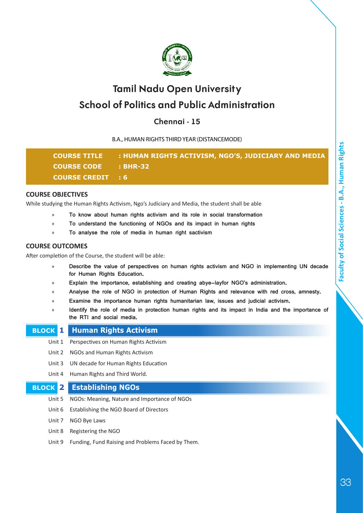

## **Chennai - 15**

B.A., HUMAN RIGHTS THIRD YEAR (DISTANCEMODE)

|                          | COURSE TITLE : HUMAN RIGHTS ACTIVISM, NGO'S, JUDICIARY AND MEDIA |
|--------------------------|------------------------------------------------------------------|
| <b>COURSE CODE</b>       | : BHR-32                                                         |
| <b>COURSE CREDIT : 6</b> |                                                                  |

#### **COURSE OBJECTIVES**

While studying the Human Rights Activism, Ngo's Judiciary and Media, the student shall be able

- » **To know about human rights activism and its role in social transformation**
- » **To understand the functioning of NGOs and its impact in human rights**
- » **To analyse the role of media in human right sactivism**

#### **COURSE OUTCOMES**

After completion of the Course, the student will be able:

- » **Describe the value of perspectives on human rights activism and NGO in implementing UN decade for Human Rights Education.**
- » **Explain the importance, establishing and creating abye-layfor NGO's administration.**
- » **Analyse the role of NGO in protection of Human Rights and relevance with red cross, amnesty.**
- » **Examine the importance human rights humanitarian law, issues and judicial activism.**
- » **Identify the role of media in protection human rights and its impact in India and the importance of the RTI and social media.**

|  | <b>BLOCK 1 Human Rights Activism</b> |  |
|--|--------------------------------------|--|
|--|--------------------------------------|--|

- Unit 1 Perspectives on Human Rights Activism
- Unit 2 NGOs and Human Rights Activism
- Unit 3 UN decade for Human Rights Education
- Unit 4 Human Rights and Third World.

#### **BLOCK 2 Establishing NGOs**

- Unit 5 NGOs: Meaning, Nature and Importance of NGOs
- Unit 6 Establishing the NGO Board of Directors
- Unit 7 NGO Bye Laws
- Unit 8 Registering the NGO
- Unit 9 Funding, Fund Raising and Problems Faced by Them.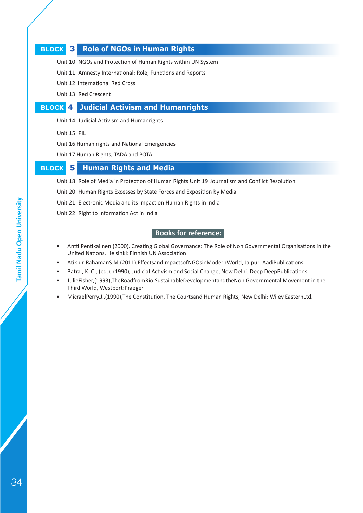#### **BLOCK 3 Role of NGOs in Human Rights**

- Unit 10 NGOs and Protection of Human Rights within UN System
- Unit 11 Amnesty International: Role, Functions and Reports
- Unit 12 International Red Cross
- Unit 13 Red Crescent

## **BLOCK 4 Judicial Activism and Humanrights**

- Unit 14 Judicial Activism and Humanrights
- Unit 15 PIL
- Unit 16 Human rights and National Emergencies
- Unit 17 Human Rights, TADA and POTA.

## **BLOCK 5 Human Rights and Media**

- Unit 18 Role of Media in Protection of Human Rights Unit 19 Journalism and Conflict Resolution
- Unit 20 Human Rights Excesses by State Forces and Exposition by Media
- Unit 21 Electronic Media and its impact on Human Rights in India
- Unit 22 Right to Information Act in India

- Antti Pentikaiinen (2000), Creating Global Governance: The Role of Non Governmental Organisations in the United Nations, Helsinki: Finnish UN Association
- Atik-ur-RahamanS.M.(2011),EffectsandImpactsofNGOsinModernWorld, Jaipur: AadiPublications
- Batra , K. C., (ed.), (1990), Judicial Activism and Social Change, New Delhi: Deep DeepPublications
- JulieFisher,(1993),TheRoadfromRio:SustainableDevelopmentandtheNon Governmental Movement in the Third World, Westport:Praeger
- MicraelPerry,J.,(1990),The Constitution, The Courtsand Human Rights, New Delhi: Wiley EasternLtd.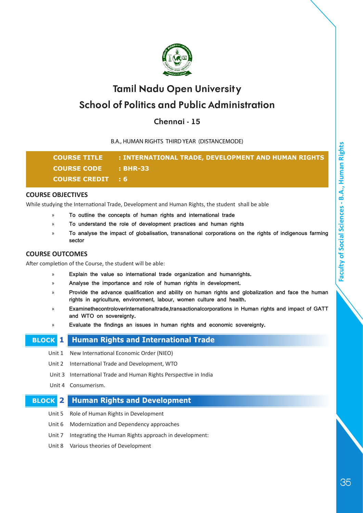

## **Chennai - 15**

B.A., HUMAN RIGHTS THIRD YEAR (DISTANCEMODE)

|                             | <b>COURSE TITLE : INTERNATIONAL TRADE, DEVELOPMENT AND HUMAN RIGHTS</b> |
|-----------------------------|-------------------------------------------------------------------------|
| <b>COURSE CODE : BHR-33</b> |                                                                         |
| COURSE CREDIT : 6           |                                                                         |

#### **COURSE OBJECTIVES**

While studying the International Trade, Development and Human Rights, the student shall be able

- » **To outline the concepts of human rights and international trade**
- » **To understand the role of development practices and human rights**
- » **To analyse the impact of globalisation, transnational corporations on the rights of indigenous farming sector**

#### **COURSE OUTCOMES**

After completion of the Course, the student will be able:

- » **Explain the value so international trade organization and humanrights.**
- » **Analyse the importance and role of human rights in development.**
- » **Provide the advance qualification and ability on human rights and globalization and face the human rights in agriculture, environment, labour, women culture and health.**
- » **Examinethecontroloverinternationaltrade,transactionalcorporations in Human rights and impact of GATT and WTO on sovereignty.**
- » **Evaluate the findings an issues in human rights and economic sovereignty.**

#### **BLOCK 1 Human Rights and International Trade**

- Unit 1 New International Economic Order (NIEO)
- Unit 2 International Trade and Development, WTO
- Unit 3 International Trade and Human Rights Perspective in India
- Unit 4 Consumerism.

## **BLOCK 2 Human Rights and Development**

- Unit 5 Role of Human Rights in Development
- Unit 6 Modernization and Dependency approaches
- Unit 7 Integrating the Human Rights approach in development:
- Unit 8 Various theories of Development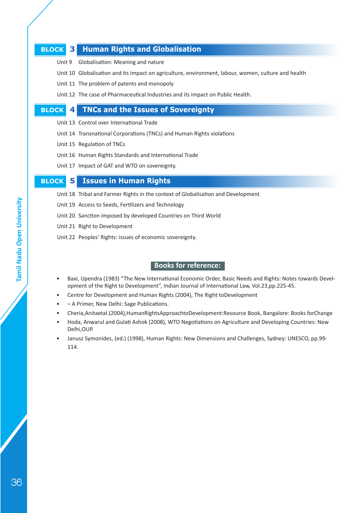#### **BLOCK 3 Human Rights and Globalisation**

- Unit 9 Globalisation: Meaning and nature
- Unit 10 Globalisation and its impact on agriculture, environment, labour, women, culture and health
- Unit 11 The problem of patents and monopoly
- Unit 12 The case of Pharmaceutical Industries and its impact on Public Health.

#### **BLOCK 4 TNCs and the Issues of Sovereignty**

- Unit 13 Control over International Trade
- Unit 14 Transnational Corporations (TNCs) and Human Rights violations
- Unit 15 Regulation of TNCs
- Unit 16 Human Rights Standards and International Trade
- Unit 17 Impact of GAT and WTO on sovereignty.

#### **BLOCK 5 Issues in Human Rights**

- Unit 18 Tribal and Farmer Rights in the context of Globalisation and Development
- Unit 19 Access to Seeds, Fertilizers and Technology
- Unit 20 Sanction imposed by developed Countries on Third World
- Unit 21 Right to Development
- Unit 22 Peoples' Rights: issues of economic sovereignty.

- Baxi, Upendra (1983) "The New International Economic Order, Basic Needs and Rights: Notes towards Development of the Right to Development", Indian Journal of International Law, Vol.23,pp.225-45.
- Centre for Development and Human Rights (2004), The Right toDevelopment
- – A Primer, New Delhi: Sage Publications.
- Cheria,Anitaetal.(2004),HumanRightsApproachtoDevelopment:Resource Book, Bangalore: Books forChange
- Hoda, Anwarul and Gulati Ashok (2008), WTO Negotiations on Agriculture and Developing Countries: New Delhi,OUP.
- Janusz Symonides, (ed.) (1998), Human Rights: New Dimensions and Challenges, Sydney: UNESCO, pp.99- 114.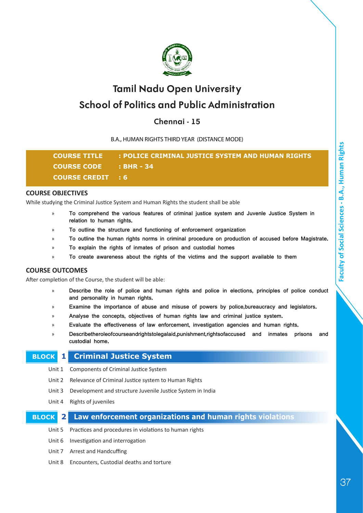

## **Chennai - 15**

B.A., HUMAN RIGHTS THIRD YEAR (DISTANCE MODE)

| <b>COURSE TITLE</b>      | : POLICE CRIMINAL JUSTICE SYSTEM AND HUMAN RIGHTS |
|--------------------------|---------------------------------------------------|
| COURSE CODE : BHR - 34   |                                                   |
| <b>COURSE CREDIT : 6</b> |                                                   |

#### **COURSE OBJECTIVES**

While studying the Criminal Justice System and Human Rights the student shall be able

- » **To comprehend the various features of criminal justice system and Juvenle Justice System in relation to human rights.**
- » **To outline the structure and functioning of enforcement organization**
- » **To outline the human rights norms in criminal procedure on production of accused before Magistrate.**
- » **To explain the rights of inmates of prison and custodial homes**
- » **To create awareness about the rights of the victims and the support available to them**

#### **COURSE OUTCOMES**

After completion of the Course, the student will be able:

- » **Describe the role of police and human rights and police in elections, principles of police conduct and personality in human rights.**
- » **Examine the importance of abuse and misuse of powers by police,bureaucracy and legislators.**
- » **Analyse the concepts, objectives of human rights law and criminal justice system.**
- » **Evaluate the effectiveness of law enforcement, investigation agencies and human rights.**
- » **Describetheroleofcourseandrightstolegalaid,punishment,rightsofaccused and inmates prisons and custodial home.**

#### **BLOCK 1 Criminal Justice System**

- Unit 1 Components of Criminal Justice System
- Unit 2 Relevance of Criminal Justice system to Human Rights
- Unit 3 Development and structure Juvenile Justice System in India
- Unit 4 Rights of juveniles

#### **BLOCK 2 Law enforcement organizations and human rights violations**

Unit 5 Practices and procedures in violations to human rights

- Unit 6 Investigation and interrogation
- Unit 7 Arrest and Handcuffing
- Unit 8 Encounters, Custodial deaths and torture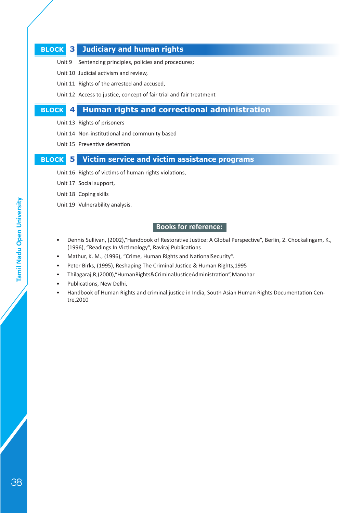### **BLOCK 3 Judiciary and human rights**

- Unit 9 Sentencing principles, policies and procedures;
- Unit 10 Judicial activism and review,
- Unit 11 Rights of the arrested and accused,
- Unit 12 Access to justice, concept of fair trial and fair treatment

#### **BLOCK 4 Human rights and correctional administration**

- Unit 13 Rights of prisoners
- Unit 14 Non-institutional and community based
- Unit 15 Preventive detention

#### **BLOCK 5 Victim service and victim assistance programs**

- Unit 16 Rights of victims of human rights violations,
- Unit 17 Social support,
- Unit 18 Coping skills
- Unit 19 Vulnerability analysis.

#### **Books for reference:**

- Dennis Sullivan, (2002),"Handbook of Restorative Justice: A Global Perspective", Berlin, 2. Chockalingam, K., (1996), "Readings In Victimology", Raviraj Publications
- Mathur, K. M., (1996), "Crime, Human Rights and NationalSecurity".
- Peter Birks, (1995), Reshaping The Criminal Justice & Human Rights,1995
- Thilagaraj,R,(2000),"HumanRights&CriminalJusticeAdministration",Manohar
- Publications, New Delhi,
- Handbook of Human Rights and criminal justice in India, South Asian Human Rights Documentation Centre,2010

**Tamil Nadu Open University** 

38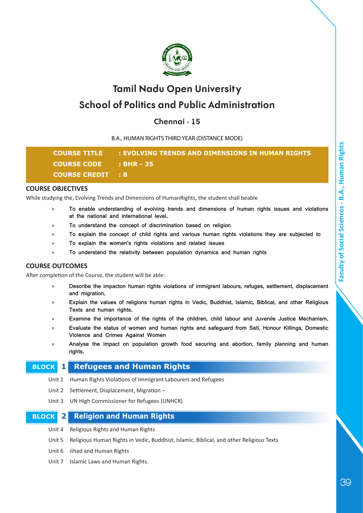

## **Chennai - 15**

B.A., HUMAN RIGHTS THIRD YEAR (DISTANCE MODE)

| <b>COURSE TITLE</b>      | : EVOLVING TRENDS AND DIMENSIONS IN HUMAN RIGHTS |
|--------------------------|--------------------------------------------------|
| COURSE CODE : BHR - 35   |                                                  |
| <b>COURSE CREDIT : 8</b> |                                                  |

#### **COURSE OBJECTIVES**

While studying the, Evolving Trends and Dimensions of HumanRights, the student shall beable

- » **To enable understanding of evolving trends and dimensions of human rights issues and violations at the national and international level.**
- » **To understand the concept of discrimination based on religion**
- » **To explain the concept of child rights and various human rights violations they are subjected to**
- » **To explain the women's rights violations and related issues**
- » **To understand the relativity between population dynamics and human rights**

#### **COURSE OUTCOMES**

After completion of the Course, the student will be able:

- » **Describe the impacton human rights violations of immigrant labours, refuges, settlement, displacement and migration.**
- » **Explain the values of religions human rights in Vedic, Buddhist, Islamic, Biblical, and other Religious Texts and human rights.**
- » **Examine the importance of the rights of the children, child labour and Juvenile Justice Mechanism.**
- » **Evaluate the status of women and human rights and safeguard from Sati, Honour Killings, Domestic Violence and Crimes Against Women**
- » **Analyse the impact on population growth food securing and abortion, family planning and human rights.**

#### **BLOCK 1 Refugees and Human Rights**

- Unit 1 Human Rights Violations of Immigrant Labourers and Refugees
- Unit 2 Settlement, Displacement, Migration –
- Unit 3 UN High Commissioner for Refugees (UNHCR)

#### **BLOCK 2 Religion and Human Rights**

- Unit 4 Religious Rights and Human Rights
- Unit 5 Religious Human Rights in Vedic, Buddhist, Islamic, Biblical, and other Religious Texts
- Unit 6 Jihad and Human Rights
- Unit 7 Islamic Laws and Human Rights.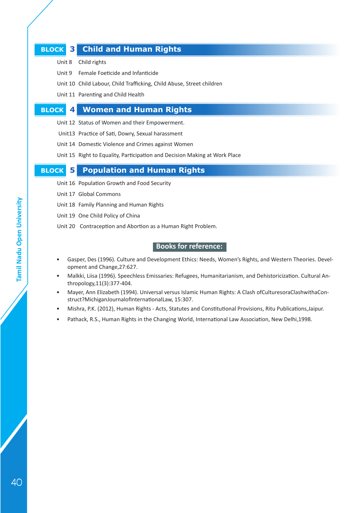## **BLOCK 3 Child and Human Rights**

- Unit 8 Child rights
- Unit 9 Female Foeticide and Infanticide
- Unit 10 Child Labour, Child Trafficking, Child Abuse, Street children
- Unit 11 Parenting and Child Health

### **BLOCK 4 Women and Human Rights**

- Unit 12 Status of Women and their Empowerment.
- Unit13 Practice of Sati, Dowry, Sexual harassment
- Unit 14 Domestic Violence and Crimes against Women
- Unit 15 Right to Equality, Participation and Decision Making at Work Place

#### **BLOCK 5 Population and Human Rights**

- Unit 16 Population Growth and Food Security
- Unit 17 Global Commons
- Unit 18 Family Planning and Human Rights
- Unit 19 One Child Policy of China
- Unit 20 Contraception and Abortion as a Human Right Problem.

- Gasper, Des (1996). Culture and Development Ethics: Needs, Women's Rights, and Western Theories. Development and Change,27:627.
- Malkki, Liisa (1996). Speechless Emissaries: Refugees, Humanitarianism, and Dehistoricization. Cultural Anthropology,11(3):377-404.
- Mayer, Ann Elizabeth (1994). Universal versus Islamic Human Rights: A Clash ofCulturesoraClashwithaConstruct?MichiganJournalofInternationalLaw, 15:307.
- Mishra, P.K. (2012), Human Rights Acts, Statutes and Constitutional Provisions, Ritu Publications,Jaipur.
- Pathack, R.S., Human Rights in the Changing World, International Law Association, New Delhi,1998.